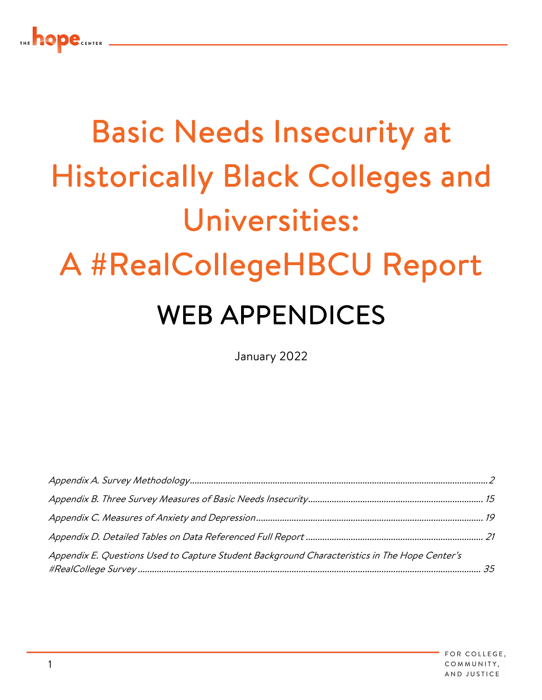

# Basic Needs Insecurity at Historically Black Colleges and Universities: A #RealCollegeHBCU Report WEB APPENDICES

January 2022

| Appendix E. Questions Used to Capture Student Background Characteristics in The Hope Center's |  |
|-----------------------------------------------------------------------------------------------|--|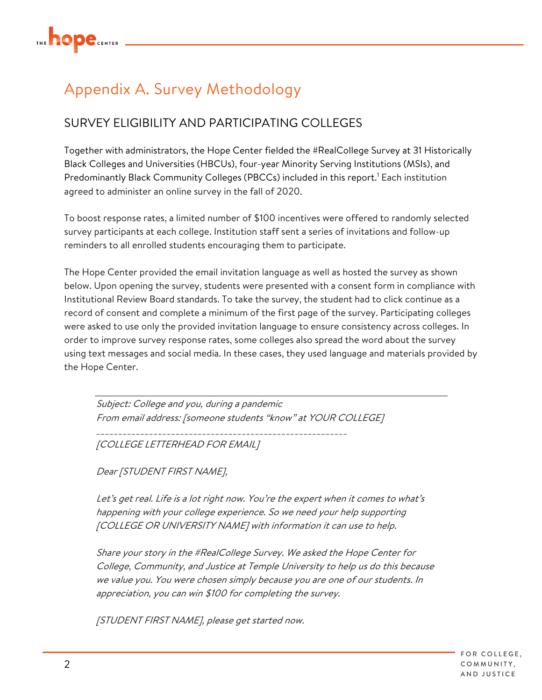

## Appendix A. Survey Methodology

### SURVEY ELIGIBILITY AND PARTICIPATING COLLEGES

Together with administrators, the Hope Center fielded the #RealCollege Survey at 31 Historically Black Colleges and Universities (HBCUs), four-year Minority Serving Institutions (MSIs), and Predominantly Black Community Colleges (PBCCs) included in this report.<sup>1</sup> Each institution agreed to administer an online survey in the fall of 2020.

To boost response rates, a limited number of \$100 incentives were offered to randomly selected survey participants at each college. Institution staff sent a series of invitations and follow-up reminders to all enrolled students encouraging them to participate.

The Hope Center provided the email invitation language as well as hosted the survey as shown below. Upon opening the survey, students were presented with a consent form in compliance with Institutional Review Board standards. To take the survey, the student had to click continue as a record of consent and complete a minimum of the first page of the survey. Participating colleges were asked to use only the provided invitation language to ensure consistency across colleges. In order to improve survey response rates, some colleges also spread the word about the survey using text messages and social media. In these cases, they used language and materials provided by the Hope Center.

Subject: College and you, during a pandemic From email address: [someone students "know" at YOUR COLLEGE]

\_\_\_\_\_\_\_\_\_\_\_\_\_\_\_\_\_\_\_\_\_\_\_\_\_\_\_\_\_\_\_\_\_\_\_\_\_\_\_\_\_\_\_\_\_\_\_\_\_\_\_\_\_\_\_\_\_

[COLLEGE LETTERHEAD FOR EMAIL]

Dear [STUDENT FIRST NAME],

Let's get real. Life is a lot right now. You're the expert when it comes to what's happening with your college experience. So we need your help supporting [COLLEGE OR UNIVERSITY NAME] with information it can use to help.

Share your story in the #RealCollege Survey. We asked the Hope Center for College, Community, and Justice at Temple University to help us do this because we value you. You were chosen simply because you are one of our students. In appreciation, you can win \$100 for completing the survey.

[STUDENT FIRST NAME], please get started now.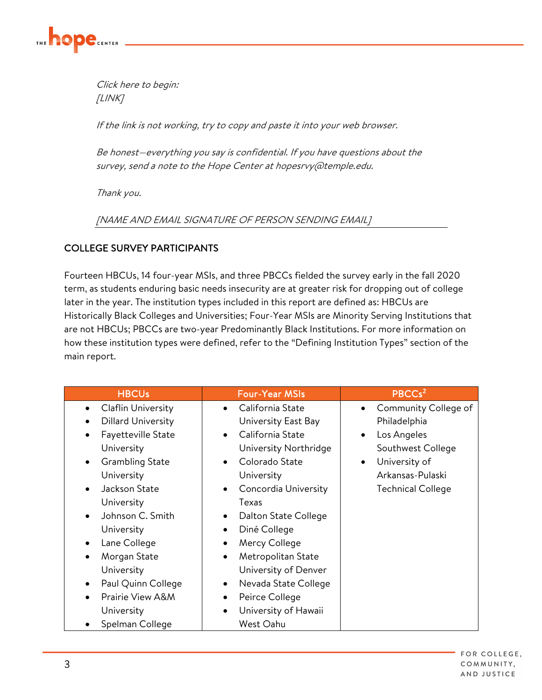

Click here to begin: [LINK]

If the link is not working, try to copy and paste it into your web browser.

Be honest—everything you say is confidential. If you have questions about the survey, send a note to the Hope Center at hopesrvy (@temple.edu.

Thank you.

[NAME AND EMAIL SIGNATURE OF PERSON SENDING EMAIL]

#### COLLEGE SURVEY PARTICIPANTS

Fourteen HBCUs, 14 four-year MSIs, and three PBCCs fielded the survey early in the fall 2020 term, as students enduring basic needs insecurity are at greater risk for dropping out of college later in the year. The institution types included in this report are defined as: HBCUs are Historically Black Colleges and Universities; Four-Year MSIs are Minority Serving Institutions that are not HBCUs; PBCCs are two-year Predominantly Black Institutions. For more information on how these institution types were defined, refer to the "Defining Institution Types" section of the main report.

| <b>HBCUs</b>                           | <b>Four-Year MSIs</b>             | PBCCs <sup>2</sup>                |
|----------------------------------------|-----------------------------------|-----------------------------------|
| Claflin University<br>$\bullet$        | California State<br>$\bullet$     | Community College of<br>$\bullet$ |
| <b>Dillard University</b><br>$\bullet$ | University East Bay               | Philadelphia                      |
| Fayetteville State<br>$\bullet$        | California State<br>$\bullet$     | Los Angeles<br>$\bullet$          |
| University                             | University Northridge             | Southwest College                 |
| <b>Grambling State</b><br>٠            | Colorado State                    | University of<br>$\bullet$        |
| University                             | University                        | Arkansas-Pulaski                  |
| Jackson State<br>$\bullet$             | Concordia University<br>$\bullet$ | <b>Technical College</b>          |
| University                             | Texas                             |                                   |
| Johnson C. Smith<br>$\bullet$          | Dalton State College<br>$\bullet$ |                                   |
| University                             | Diné College<br>$\bullet$         |                                   |
| Lane College                           | Mercy College<br>٠                |                                   |
| Morgan State<br>$\bullet$              | Metropolitan State<br>$\bullet$   |                                   |
| University                             | University of Denver              |                                   |
| Paul Quinn College<br>٠                | Nevada State College<br>$\bullet$ |                                   |
| Prairie View A&M<br>$\bullet$          | Peirce College<br>$\bullet$       |                                   |
| University                             | University of Hawaii              |                                   |
| Spelman College                        | West Oahu                         |                                   |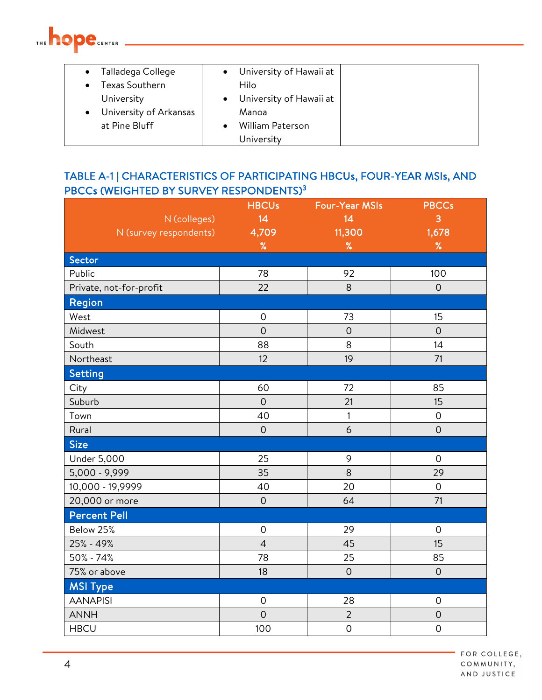

| Talladega College      | University of Hawaii at |  |
|------------------------|-------------------------|--|
| Texas Southern         | Hilo                    |  |
| University             | University of Hawaii at |  |
| University of Arkansas | Manoa                   |  |
| at Pine Bluff          | William Paterson        |  |
|                        | University              |  |

#### TABLE A-1 | CHARACTERISTICS OF PARTICIPATING HBCUs, FOUR-YEAR MSIs, AND PBCCs (WEIGHTED BY SURVEY RESPONDENTS)<sup>3</sup>

|                         | <b>HBCUs</b>        | <b>Four-Year MSIs</b> | <b>PBCCs</b>        |
|-------------------------|---------------------|-----------------------|---------------------|
| N (colleges)            | 14                  | 14                    | 3                   |
| N (survey respondents)  | 4,709               | 11,300                | 1,678               |
|                         | $\%$                | $\%$                  | $\%$                |
| Sector                  |                     |                       |                     |
| Public                  | 78                  | 92                    | 100                 |
| Private, not-for-profit | 22                  | 8                     | $\mathbf 0$         |
| Region                  |                     |                       |                     |
| West                    | $\mathsf{O}\xspace$ | 73                    | 15                  |
| Midwest                 | $\overline{O}$      | $\overline{O}$        | $\overline{O}$      |
| South                   | 88                  | 8                     | 14                  |
| Northeast               | 12                  | 19                    | 71                  |
| Setting                 |                     |                       |                     |
| City                    | 60                  | 72                    | 85                  |
| Suburb                  | $\overline{O}$      | 21                    | 15                  |
| Town                    | 40                  | 1                     | $\mathsf{O}\xspace$ |
| Rural                   | $\overline{0}$      | 6                     | $\overline{O}$      |
| <b>Size</b>             |                     |                       |                     |
| <b>Under 5,000</b>      | 25                  | 9                     | $\mathbf 0$         |
| 5,000 - 9,999           | 35                  | 8                     | 29                  |
| 10,000 - 19,9999        | 40                  | 20                    | $\mathsf{O}\xspace$ |
| 20,000 or more          | $\overline{O}$      | 64                    | 71                  |
| <b>Percent Pell</b>     |                     |                       |                     |
| Below 25%               | $\mathbf 0$         | 29                    | $\mathbf 0$         |
| 25% - 49%               | $\overline{4}$      | 45                    | 15                  |
| 50% - 74%               | 78                  | 25                    | 85                  |
| 75% or above            | 18                  | $\mathbf 0$           | $\overline{O}$      |
| <b>MSI Type</b>         |                     |                       |                     |
| <b>AANAPISI</b>         | $\mathsf{O}\xspace$ | 28                    | $\mathsf{O}\xspace$ |
| <b>ANNH</b>             | $\overline{O}$      | $\overline{2}$        | $\mathbf 0$         |
| <b>HBCU</b>             | 100                 | $\mathsf O$           | $\mathsf{O}\xspace$ |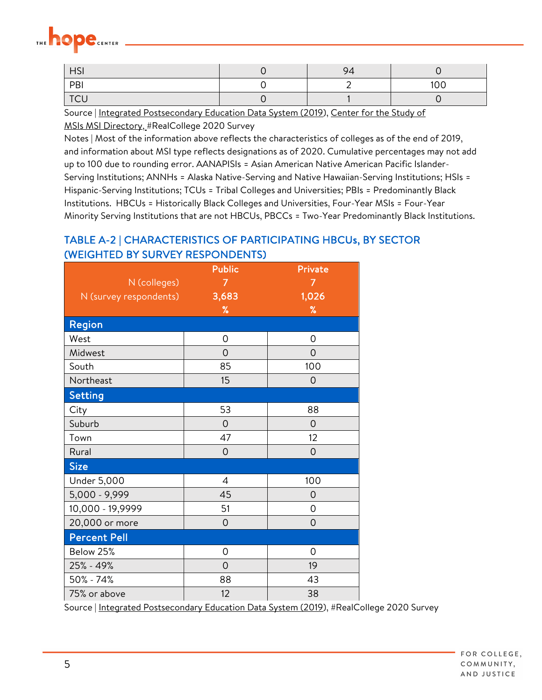| <b>HSI</b> | 94 |     |
|------------|----|-----|
| PBI        |    | 100 |
| <b>TCU</b> |    |     |

Source | Integrated Postsecondary Education Data System (2019), Center for the Study of

MSIs MSI Directory, #RealCollege 2020 Survey

Notes | Most of the information above reflects the characteristics of colleges as of the end of 2019, and information about MSI type reflects designations as of 2020. Cumulative percentages may not add up to 100 due to rounding error. AANAPISIs = Asian American Native American Pacific Islander-Serving Institutions; ANNHs = Alaska Native-Serving and Native Hawaiian-Serving Institutions; HSIs = Hispanic-Serving Institutions; TCUs = Tribal Colleges and Universities; PBIs = Predominantly Black Institutions. HBCUs = Historically Black Colleges and Universities, Four-Year MSIs = Four-Year Minority Serving Institutions that are not HBCUs, PBCCs = Two-Year Predominantly Black Institutions.

#### TABLE A-2 | CHARACTERISTICS OF PARTICIPATING HBCUs, BY SECTOR (WEIGHTED BY SURVEY RESPONDENTS)

|                        | <b>Public</b>  | Private |
|------------------------|----------------|---------|
| N (colleges)           |                | 7       |
| N (survey respondents) | 3,683          | 1,026   |
|                        | %              | %       |
| Region                 |                |         |
| West                   | 0              | 0       |
| Midwest                | $\overline{O}$ | 0       |
| South                  | 85             | 100     |
| Northeast              | 15             | 0       |
| Setting                |                |         |
| City                   | 53             | 88      |
| Suburb                 | $\overline{O}$ | 0       |
| Town                   | 47             | 12      |
| Rural                  | $\mathbf 0$    | 0       |
| <b>Size</b>            |                |         |
| <b>Under 5,000</b>     | 4              | 100     |
| 5,000 - 9,999          | 45             | 0       |
| 10,000 - 19,9999       | 51             | 0       |
| 20,000 or more         | $\mathbf 0$    | 0       |
| <b>Percent Pell</b>    |                |         |
| Below 25%              | 0              | 0       |
| 25% - 49%              | $\Omega$       | 19      |
| 50% - 74%              | 88             | 43      |
| 75% or above           | 12             | 38      |

Source | Integrated Postsecondary Education Data System (2019), #RealCollege 2020 Survey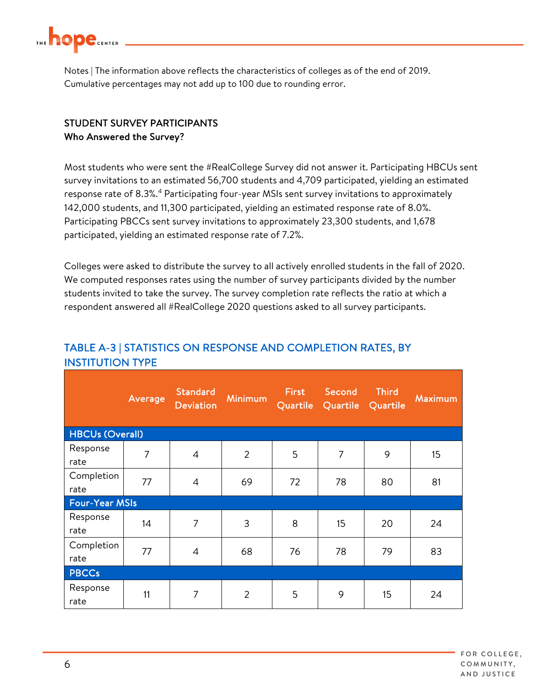

Notes | The information above reflects the characteristics of colleges as of the end of 2019. Cumulative percentages may not add up to 100 due to rounding error.

#### STUDENT SURVEY PARTICIPANTS Who Answered the Survey?

Most students who were sent the #RealCollege Survey did not answer it. Participating HBCUs sent survey invitations to an estimated 56,700 students and 4,709 participated, yielding an estimated response rate of 8.3%.<sup>4</sup> Participating four-year MSIs sent survey invitations to approximately 142,000 students, and 11,300 participated, yielding an estimated response rate of 8.0%. Participating PBCCs sent survey invitations to approximately 23,300 students, and 1,678 participated, yielding an estimated response rate of 7.2%.

Colleges were asked to distribute the survey to all actively enrolled students in the fall of 2020. We computed responses rates using the number of survey participants divided by the number students invited to take the survey. The survey completion rate reflects the ratio at which a respondent answered all #RealCollege 2020 questions asked to all survey participants.

|                        | Average        | <b>Standard</b><br><b>Deviation</b> | <b>Minimum</b> | <b>First</b><br>Quartile | Second<br>Quartile | <b>Third</b><br>Quartile | Maximum |
|------------------------|----------------|-------------------------------------|----------------|--------------------------|--------------------|--------------------------|---------|
| <b>HBCUs (Overall)</b> |                |                                     |                |                          |                    |                          |         |
| Response<br>rate       | $\overline{7}$ | $\overline{4}$                      | $\overline{2}$ | 5                        | $\overline{7}$     | 9                        | 15      |
| Completion<br>rate     | 77             | $\overline{4}$                      | 69             | 72                       | 78                 | 80                       | 81      |
| <b>Four-Year MSIs</b>  |                |                                     |                |                          |                    |                          |         |
| Response<br>rate       | 14             | 7                                   | 3              | 8                        | 15                 | 20                       | 24      |
| Completion<br>rate     | 77             | $\overline{4}$                      | 68             | 76                       | 78                 | 79                       | 83      |
| <b>PBCCs</b>           |                |                                     |                |                          |                    |                          |         |
| Response<br>rate       | 11             | $\overline{7}$                      | $\overline{2}$ | 5                        | 9                  | 15                       | 24      |

#### TABLE A-3 | STATISTICS ON RESPONSE AND COMPLETION RATES, BY INSTITUTION TYPE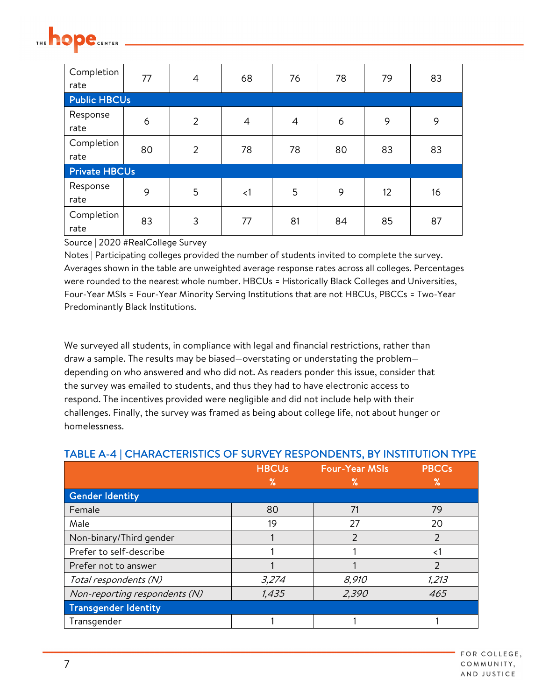

| Completion<br>rate   | 77 | $\overline{4}$ | 68             | 76             | 78 | 79 | 83 |
|----------------------|----|----------------|----------------|----------------|----|----|----|
| <b>Public HBCUs</b>  |    |                |                |                |    |    |    |
| Response<br>rate     | 6  | $\overline{2}$ | $\overline{4}$ | $\overline{4}$ | 6  | 9  | 9  |
| Completion<br>rate   | 80 | $\overline{2}$ | 78             | 78             | 80 | 83 | 83 |
| <b>Private HBCUs</b> |    |                |                |                |    |    |    |
| Response<br>rate     | 9  | 5              | $\leq$ 1       | 5              | 9  | 12 | 16 |
| Completion<br>rate   | 83 | 3              | 77             | 81             | 84 | 85 | 87 |

Notes | Participating colleges provided the number of students invited to complete the survey. Averages shown in the table are unweighted average response rates across all colleges. Percentages were rounded to the nearest whole number. HBCUs = Historically Black Colleges and Universities, Four-Year MSIs = Four-Year Minority Serving Institutions that are not HBCUs, PBCCs = Two-Year Predominantly Black Institutions.

We surveyed all students, in compliance with legal and financial restrictions, rather than draw a sample. The results may be biased—overstating or understating the problem depending on who answered and who did not. As readers ponder this issue, consider that the survey was emailed to students, and thus they had to have electronic access to respond. The incentives provided were negligible and did not include help with their challenges. Finally, the survey was framed as being about college life, not about hunger or homelessness.

|                               | <b>HBCUs</b> | <b>Four-Year MSIs</b> | <b>PBCCs</b>  |
|-------------------------------|--------------|-----------------------|---------------|
|                               | ℅            | ℅                     | ℅             |
| Gender Identity               |              |                       |               |
| Female                        | 80           | 71                    | 79            |
| Male                          | 19           | 27                    | 20            |
| Non-binary/Third gender       |              | 2                     | $\mathcal{P}$ |
| Prefer to self-describe       |              |                       | $\leq$        |
| Prefer not to answer          |              |                       | $\mathcal{P}$ |
| Total respondents (N)         | 3,274        | 8,910                 | 1,213         |
| Non-reporting respondents (N) | 1,435        | 2,390                 | 465           |
| Transgender Identity          |              |                       |               |
| Transgender                   |              |                       |               |

#### TABLE A-4 | CHARACTERISTICS OF SURVEY RESPONDENTS, BY INSTITUTION TYPE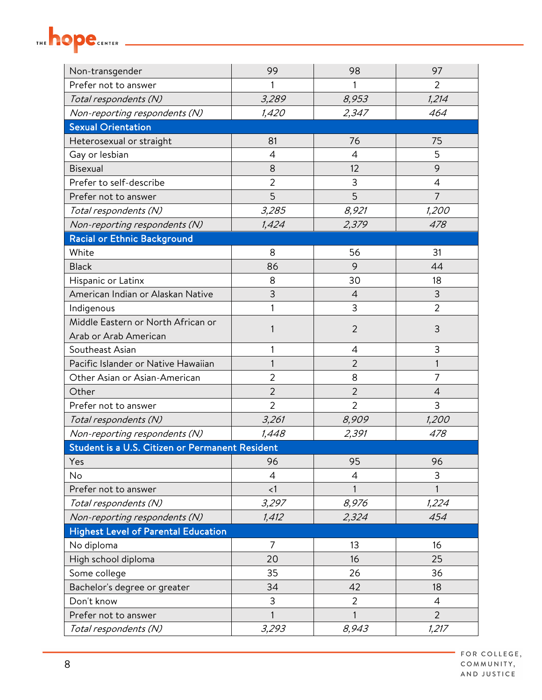

| Non-transgender                                 | 99             | 98             | 97             |  |  |  |  |
|-------------------------------------------------|----------------|----------------|----------------|--|--|--|--|
| Prefer not to answer                            |                | 1              | 2              |  |  |  |  |
| Total respondents (N)                           | 3,289          | 8,953          | 1,214          |  |  |  |  |
| Non-reporting respondents (N)                   | 1,420          | 2,347          | 464            |  |  |  |  |
| <b>Sexual Orientation</b>                       |                |                |                |  |  |  |  |
| Heterosexual or straight                        | 81             | 76             | 75             |  |  |  |  |
| Gay or lesbian                                  | 4              | $\overline{4}$ | 5              |  |  |  |  |
| Bisexual                                        | 8              | 12             | 9              |  |  |  |  |
| Prefer to self-describe                         | $\overline{2}$ | 3              | $\overline{4}$ |  |  |  |  |
| Prefer not to answer                            | 5              | 5              | $\overline{7}$ |  |  |  |  |
| Total respondents (N)                           | 3,285          | 8,921          | 1,200          |  |  |  |  |
| Non-reporting respondents (N)                   | 1,424          | 2,379          | 478            |  |  |  |  |
| <b>Racial or Ethnic Background</b>              |                |                |                |  |  |  |  |
| White                                           | 8              | 56             | 31             |  |  |  |  |
| <b>Black</b>                                    | 86             | 9              | 44             |  |  |  |  |
| Hispanic or Latinx                              | 8              | 30             | 18             |  |  |  |  |
| American Indian or Alaskan Native               | 3              | 4              | 3              |  |  |  |  |
| Indigenous                                      |                | 3              | $\overline{2}$ |  |  |  |  |
| Middle Eastern or North African or              | 1              | $\overline{2}$ | 3              |  |  |  |  |
| Arab or Arab American                           |                |                |                |  |  |  |  |
| Southeast Asian                                 |                | $\overline{4}$ | 3              |  |  |  |  |
| Pacific Islander or Native Hawaiian             |                | 2              | 1              |  |  |  |  |
| Other Asian or Asian-American                   | $\overline{2}$ | 8              | 7              |  |  |  |  |
| Other                                           | $\overline{2}$ | $\overline{2}$ | $\overline{4}$ |  |  |  |  |
| Prefer not to answer                            | $\overline{2}$ | $\overline{2}$ | 3              |  |  |  |  |
| Total respondents (N)                           | 3,261          | 8,909          | 1,200          |  |  |  |  |
| Non-reporting respondents (N)                   | 1,448          | 2,391          | 478            |  |  |  |  |
| Student is a U.S. Citizen or Permanent Resident |                |                |                |  |  |  |  |
| Yes                                             | 96             | 95             | 96             |  |  |  |  |
| No                                              | $\overline{4}$ | 4              | 3              |  |  |  |  |
| Prefer not to answer                            | $\lt 1$        | 1              | 1              |  |  |  |  |
| Total respondents (N)                           | 3,297          | 8,976          | 1,224          |  |  |  |  |
| Non-reporting respondents (N)                   | 1,412          | 2,324          | 454            |  |  |  |  |
| <b>Highest Level of Parental Education</b>      |                |                |                |  |  |  |  |
| No diploma                                      | 7              | 13             | 16             |  |  |  |  |
| High school diploma                             | 20             | 16             | 25             |  |  |  |  |
| Some college                                    | 35             | 26             | 36             |  |  |  |  |
| Bachelor's degree or greater                    | 34             | 42             | 18             |  |  |  |  |
| Don't know                                      | 3              | $\overline{2}$ | $\overline{4}$ |  |  |  |  |
| Prefer not to answer                            | 1              | $\mathbf{1}$   | $\overline{2}$ |  |  |  |  |
| Total respondents (N)                           | 3,293          | 8,943          | 1,217          |  |  |  |  |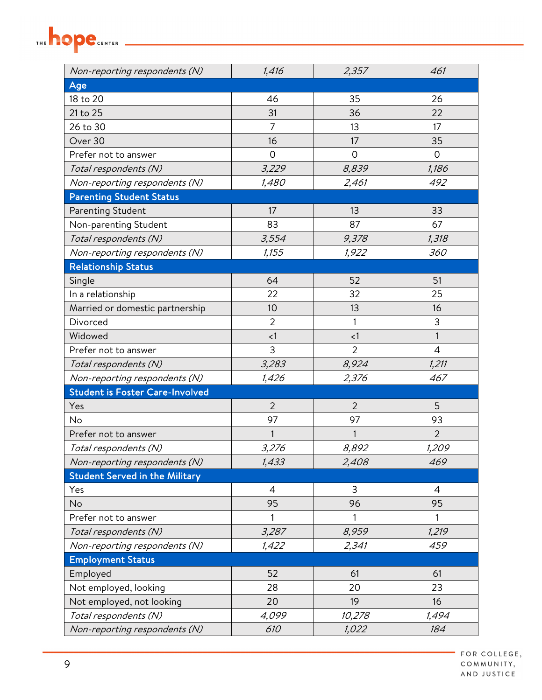## THE **hope** CENTER

| Non-reporting respondents (N)          | 1,416          | 2,357          | 461            |
|----------------------------------------|----------------|----------------|----------------|
| Age                                    |                |                |                |
| 18 to 20                               | 46             | 35             | 26             |
| 21 to 25                               | 31             | 36             | 22             |
| 26 to 30                               | 7              | 13             | 17             |
| Over 30                                | 16             | 17             | 35             |
| Prefer not to answer                   | $\overline{0}$ | 0              | 0              |
| Total respondents (N)                  | 3,229          | 8,839          | 1,186          |
| Non-reporting respondents (N)          | 1,480          | 2,461          | 492            |
| <b>Parenting Student Status</b>        |                |                |                |
| Parenting Student                      | 17             | 13             | 33             |
| Non-parenting Student                  | 83             | 87             | 67             |
| Total respondents (N)                  | 3,554          | 9,378          | 1,318          |
| Non-reporting respondents (N)          | 1,155          | 1,922          | 360            |
| <b>Relationship Status</b>             |                |                |                |
| Single                                 | 64             | 52             | 51             |
| In a relationship                      | 22             | 32             | 25             |
| Married or domestic partnership        | 10             | 13             | 16             |
| Divorced                               | $\overline{2}$ | 1              | 3              |
| Widowed                                | < 1            | < 1            | $\mathbf{1}$   |
| Prefer not to answer                   | 3              | $\overline{2}$ | $\overline{4}$ |
| Total respondents (N)                  | 3,283          | 8,924          | 1,211          |
| Non-reporting respondents (N)          | 1,426          | 2,376          | 467            |
| <b>Student is Foster Care-Involved</b> |                |                |                |
| Yes                                    | $\overline{2}$ | $\overline{2}$ | 5              |
| No                                     | 97             | 97             | 93             |
| Prefer not to answer                   | 1              | $\mathbf{1}$   | $\overline{2}$ |
| Total respondents (N)                  | 3,276          | 8,892          | 1,209          |
| Non-reporting respondents (N)          | 1,433          | 2,408          | 469            |
| <b>Student Served in the Military</b>  |                |                |                |
| Yes                                    | $\overline{4}$ | 3              | $\overline{4}$ |
| No                                     | 95             | 96             | 95             |
| Prefer not to answer                   | 1              | 1              | 1              |
| Total respondents (N)                  | 3,287          | 8,959          | 1,219          |
| Non-reporting respondents (N)          | 1,422          | 2,341          | 459            |
| <b>Employment Status</b>               |                |                |                |
| Employed                               | 52             | 61             | 61             |
| Not employed, looking                  | 28             | 20             | 23             |
| Not employed, not looking              | 20             | 19             | 16             |
| Total respondents (N)                  | 4,099          | 10,278         | 1,494          |
| Non-reporting respondents (N)          | 610            | 1,022          | 184            |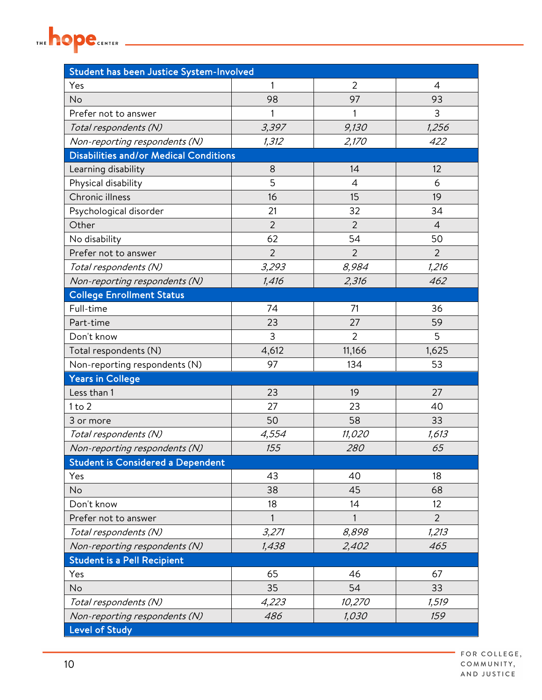

| Student has been Justice System-Involved      |                |                |                |  |  |
|-----------------------------------------------|----------------|----------------|----------------|--|--|
| Yes                                           | 1              | $\overline{2}$ | 4              |  |  |
| No                                            | 98             | 97             | 93             |  |  |
| Prefer not to answer                          |                | 1              | 3              |  |  |
| Total respondents (N)                         | 3,397          | 9,130          | 1,256          |  |  |
| Non-reporting respondents (N)                 | 1,312          | 2,170          | 422            |  |  |
| <b>Disabilities and/or Medical Conditions</b> |                |                |                |  |  |
| Learning disability                           | 8              | 14             | 12             |  |  |
| Physical disability                           | 5              | $\overline{4}$ | 6              |  |  |
| Chronic illness                               | 16             | 15             | 19             |  |  |
| Psychological disorder                        | 21             | 32             | 34             |  |  |
| Other                                         | $\overline{2}$ | $\overline{2}$ | $\overline{4}$ |  |  |
| No disability                                 | 62             | 54             | 50             |  |  |
| Prefer not to answer                          | $\overline{2}$ | $\overline{2}$ | $\overline{2}$ |  |  |
| Total respondents (N)                         | 3,293          | 8,984          | 1,216          |  |  |
| Non-reporting respondents (N)                 | 1,416          | 2,316          | 462            |  |  |
| <b>College Enrollment Status</b>              |                |                |                |  |  |
| Full-time                                     | 74             | 71             | 36             |  |  |
| Part-time                                     | 23             | 27             | 59             |  |  |
| Don't know                                    | 3              | $\overline{2}$ | 5              |  |  |
| Total respondents (N)                         | 4,612          | 11,166         | 1,625          |  |  |
| Non-reporting respondents (N)                 | 97             | 134            | 53             |  |  |
| <b>Years in College</b>                       |                |                |                |  |  |
| Less than 1                                   | 23             | 19             | 27             |  |  |
| 1 to 2                                        | 27             | 23             | 40             |  |  |
| 3 or more                                     | 50             | 58             | 33             |  |  |
| Total respondents (N)                         | 4,554          | 11,020         | 1,613          |  |  |
| Non-reporting respondents (N)                 | 155            | 280            | 65             |  |  |
| <b>Student is Considered a Dependent</b>      |                |                |                |  |  |
| Yes                                           | 43             | 40             | 18             |  |  |
| No                                            | 38             | 45             | 68             |  |  |
| Don't know                                    | 18             | 14             | 12             |  |  |
| Prefer not to answer                          | 1              | 1              | $\overline{2}$ |  |  |
| Total respondents (N)                         | 3,271          | 8,898          | 1,213          |  |  |
| Non-reporting respondents (N)                 | 1,438          | 2,402          | 465            |  |  |
| <b>Student is a Pell Recipient</b>            |                |                |                |  |  |
| Yes                                           | 65             | 46             | 67             |  |  |
| No                                            | 35             | 54             | 33             |  |  |
| Total respondents (N)                         | 4,223          | 10,270         | 1,519          |  |  |
| Non-reporting respondents (N)                 | 486            | 1,030          | 159            |  |  |
| <b>Level of Study</b>                         |                |                |                |  |  |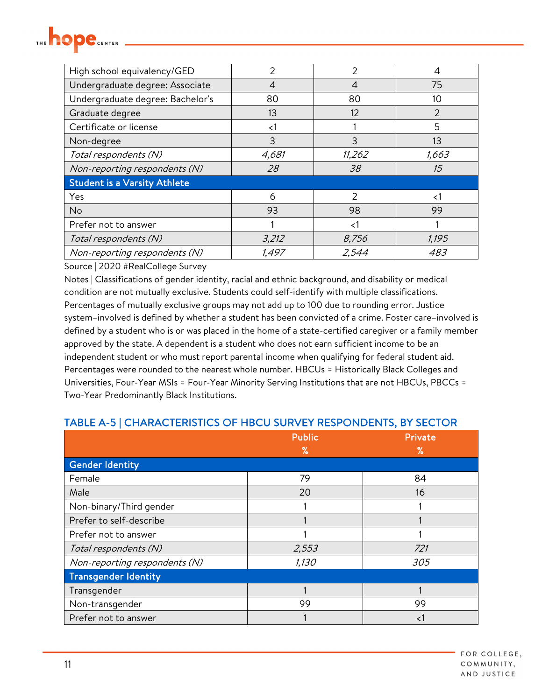

| High school equivalency/GED         |        | 2      |                |
|-------------------------------------|--------|--------|----------------|
| Undergraduate degree: Associate     | 4      | 4      | 75             |
| Undergraduate degree: Bachelor's    | 80     | 80     | 10             |
| Graduate degree                     | 13     | 12     | $\overline{2}$ |
| Certificate or license              | ${<}1$ |        | 5              |
| Non-degree                          | 3      | 3      | 13             |
| Total respondents (N)               | 4,681  | 11,262 | 1,663          |
| Non-reporting respondents (N)       | 28     | 38     | 15             |
| <b>Student is a Varsity Athlete</b> |        |        |                |
| Yes                                 | 6      | 2      | 1>             |
| <b>No</b>                           | 93     | 98     | 99             |
| Prefer not to answer                |        | ا>     |                |
| Total respondents (N)               | 3,212  | 8,756  | 1,195          |
| Non-reporting respondents (N)       | 1,497  | 2,544  | <i>483</i>     |

Notes | Classifications of gender identity, racial and ethnic background, and disability or medical condition are not mutually exclusive. Students could self-identify with multiple classifications. Percentages of mutually exclusive groups may not add up to 100 due to rounding error. Justice system–involved is defined by whether a student has been convicted of a crime. Foster care–involved is defined by a student who is or was placed in the home of a state-certified caregiver or a family member approved by the state. A dependent is a student who does not earn sufficient income to be an independent student or who must report parental income when qualifying for federal student aid. Percentages were rounded to the nearest whole number. HBCUs = Historically Black Colleges and Universities, Four-Year MSIs = Four-Year Minority Serving Institutions that are not HBCUs, PBCCs = Two-Year Predominantly Black Institutions.

| TABLE A-5   CHARACTERISTICS OF HBCU SURVEY RESPONDENTS, BY SECTOR |  |
|-------------------------------------------------------------------|--|
|-------------------------------------------------------------------|--|

|                               | <b>Public</b> | Private |
|-------------------------------|---------------|---------|
|                               | ℅             | ℅       |
| <b>Gender Identity</b>        |               |         |
| Female                        | 79            | 84      |
| Male                          | 20            | 16      |
| Non-binary/Third gender       |               |         |
| Prefer to self-describe       |               |         |
| Prefer not to answer          |               |         |
| Total respondents (N)         | 2,553         | 721     |
| Non-reporting respondents (N) | 1,130         | 305     |
| <b>Transgender Identity</b>   |               |         |
| Transgender                   |               |         |
| Non-transgender               | 99            | 99      |
| Prefer not to answer          |               | $\lt1$  |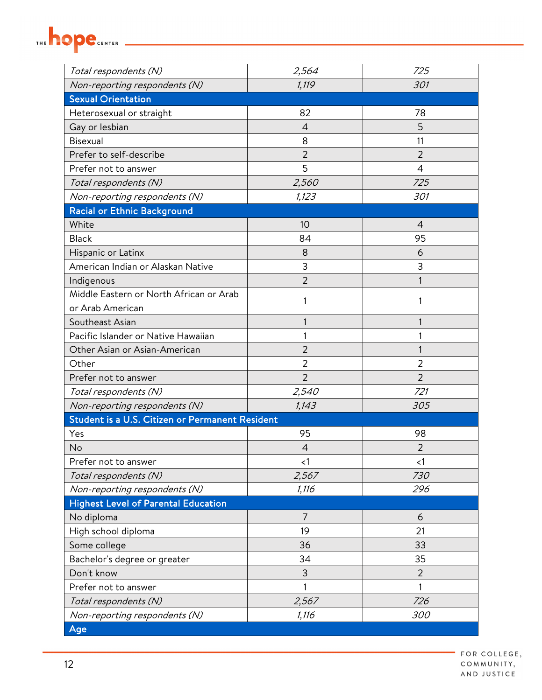

| Total respondents (N)                           | 2,564          | 725            |
|-------------------------------------------------|----------------|----------------|
| Non-reporting respondents (N)                   | 1,119          | 301            |
| <b>Sexual Orientation</b>                       |                |                |
| Heterosexual or straight                        | 82             | 78             |
| Gay or lesbian                                  | 4              | 5              |
| Bisexual                                        | 8              | 11             |
| Prefer to self-describe                         | $\overline{2}$ | $\overline{2}$ |
| Prefer not to answer                            | 5              | $\overline{4}$ |
| Total respondents (N)                           | 2,560          | 725            |
| Non-reporting respondents (N)                   | 1,123          | 301            |
| <b>Racial or Ethnic Background</b>              |                |                |
| White                                           | 10             | 4              |
| <b>Black</b>                                    | 84             | 95             |
| Hispanic or Latinx                              | 8              | 6              |
| American Indian or Alaskan Native               | 3              | 3              |
| Indigenous                                      | $\overline{2}$ |                |
| Middle Eastern or North African or Arab         | 1              |                |
| or Arab American                                |                |                |
| Southeast Asian                                 | 1              | 1              |
| Pacific Islander or Native Hawaiian             |                |                |
| Other Asian or Asian-American                   | $\overline{2}$ |                |
| Other                                           | $\overline{2}$ | 2              |
| Prefer not to answer                            | $\overline{2}$ | $\overline{2}$ |
| Total respondents (N)                           | 2,540          | 721            |
| Non-reporting respondents (N)                   | 1,143          | 305            |
| Student is a U.S. Citizen or Permanent Resident |                |                |
| Yes                                             | 95             | 98             |
| No                                              | $\overline{4}$ | 2              |
| Prefer not to answer                            | $\leq$ 1       | $\lt 1$        |
| Total respondents (N)                           | 2,567          | 730            |
| Non-reporting respondents (N)                   | 1,116          | 296            |
| <b>Highest Level of Parental Education</b>      |                |                |
| No diploma                                      | $\overline{7}$ | 6              |
| High school diploma                             | 19             | 21             |
| Some college                                    | 36             | 33             |
| Bachelor's degree or greater                    | 34             | 35             |
| Don't know                                      | 3              | $\overline{2}$ |
| Prefer not to answer                            | 1              | 1              |
| Total respondents (N)                           | 2,567          | 726            |
| Non-reporting respondents (N)                   | 1,116          | 300            |
| Age                                             |                |                |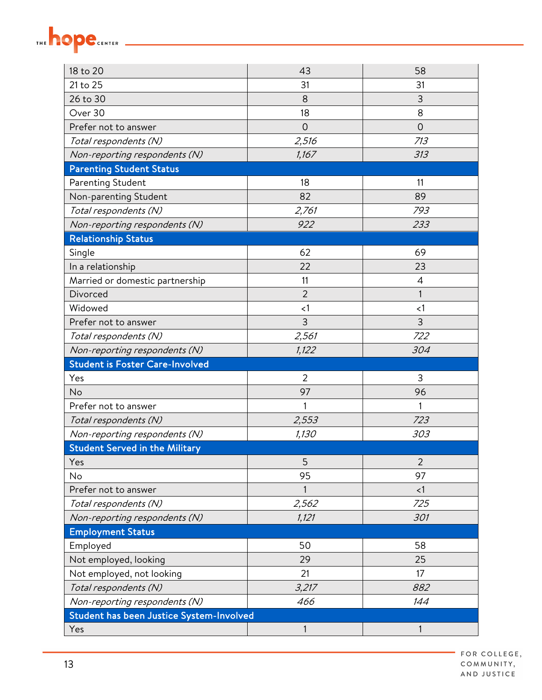| 18 to 20                                 | 43             | 58             |
|------------------------------------------|----------------|----------------|
| 21 to 25                                 | 31             | 31             |
| 26 to 30                                 | 8              | 3              |
| Over 30                                  | 18             | 8              |
| Prefer not to answer                     | $\Omega$       | $\overline{0}$ |
| Total respondents (N)                    | 2,516          | 713            |
| Non-reporting respondents (N)            | 1,167          | 313            |
| <b>Parenting Student Status</b>          |                |                |
| Parenting Student                        | 18             | 11             |
| Non-parenting Student                    | 82             | 89             |
| Total respondents (N)                    | 2,761          | 793            |
| Non-reporting respondents (N)            | 922            | 233            |
| <b>Relationship Status</b>               |                |                |
| Single                                   | 62             | 69             |
| In a relationship                        | 22             | 23             |
| Married or domestic partnership          | 11             | $\overline{4}$ |
| Divorced                                 | $\overline{2}$ | 1              |
| Widowed                                  | $\leq$ 1       | $\leq$ 1       |
| Prefer not to answer                     | 3              | 3              |
| Total respondents (N)                    | 2,561          | 722            |
| Non-reporting respondents (N)            | 1,122          | 304            |
| <b>Student is Foster Care-Involved</b>   |                |                |
| Yes                                      | $\overline{2}$ | 3              |
| No                                       | 97             | 96             |
| Prefer not to answer                     | 1              | 1              |
| Total respondents (N)                    | 2,553          | 723            |
| Non-reporting respondents (N)            | 1,130          | 303            |
| <b>Student Served in the Military</b>    |                |                |
| Yes                                      | 5              | $\overline{2}$ |
| No                                       | 95             | 97             |
| Prefer not to answer                     | 1              | <1             |
| Total respondents (N)                    | 2,562          | 725            |
| Non-reporting respondents (N)            | 1,121          | 301            |
| <b>Employment Status</b>                 |                |                |
| Employed                                 | 50             | 58             |
| Not employed, looking                    | 29             | 25             |
| Not employed, not looking                | 21             | 17             |
| Total respondents (N)                    | 3,217          | 882            |
| Non-reporting respondents (N)            | 466            | 144            |
| Student has been Justice System-Involved |                |                |
| Yes                                      | 1              | 1              |

THE hope.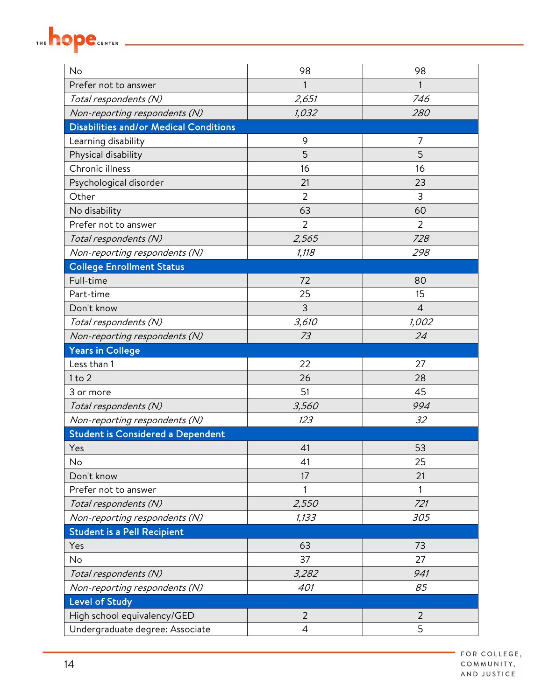

| No                                            | 98             | 98             |
|-----------------------------------------------|----------------|----------------|
| Prefer not to answer                          | 1              |                |
| Total respondents (N)                         | 2,651          | 746            |
| Non-reporting respondents (N)                 | 1,032          | 280            |
| <b>Disabilities and/or Medical Conditions</b> |                |                |
| Learning disability                           | 9              | 7              |
| Physical disability                           | 5              | 5              |
| Chronic illness                               | 16             | 16             |
| Psychological disorder                        | 21             | 23             |
| Other                                         | $\overline{2}$ | 3              |
| No disability                                 | 63             | 60             |
| Prefer not to answer                          | $\overline{2}$ | $\overline{2}$ |
| Total respondents (N)                         | 2,565          | 728            |
| Non-reporting respondents (N)                 | 1,118          | 298            |
| <b>College Enrollment Status</b>              |                |                |
| Full-time                                     | 72             | 80             |
| Part-time                                     | 25             | 15             |
| Don't know                                    | 3              | $\overline{4}$ |
| Total respondents (N)                         | 3,610          | 1,002          |
| Non-reporting respondents (N)                 | 73             | 24             |
| <b>Years in College</b>                       |                |                |
| Less than 1                                   | 22             | 27             |
| $1$ to $2$                                    | 26             | 28             |
| 3 or more                                     | 51             | 45             |
| Total respondents (N)                         | 3,560          | 994            |
| Non-reporting respondents (N)                 | 123            | 32             |
| <b>Student is Considered a Dependent</b>      |                |                |
| Yes                                           | 41             | 53             |
| No                                            | 41             | 25             |
| Don't know                                    | 17             | 21             |
| Prefer not to answer                          | 1              |                |
| Total respondents (N)                         | 2,550          | 721            |
| Non-reporting respondents (N)                 | 1,133          | 305            |
| <b>Student is a Pell Recipient</b>            |                |                |
| Yes                                           | 63             | 73             |
| No                                            | 37             | 27             |
| Total respondents (N)                         | 3,282          | 941            |
| Non-reporting respondents (N)                 | 401            | 85             |
| <b>Level of Study</b>                         |                |                |
| High school equivalency/GED                   | $\overline{2}$ | $\overline{2}$ |
| Undergraduate degree: Associate               | 4              | 5              |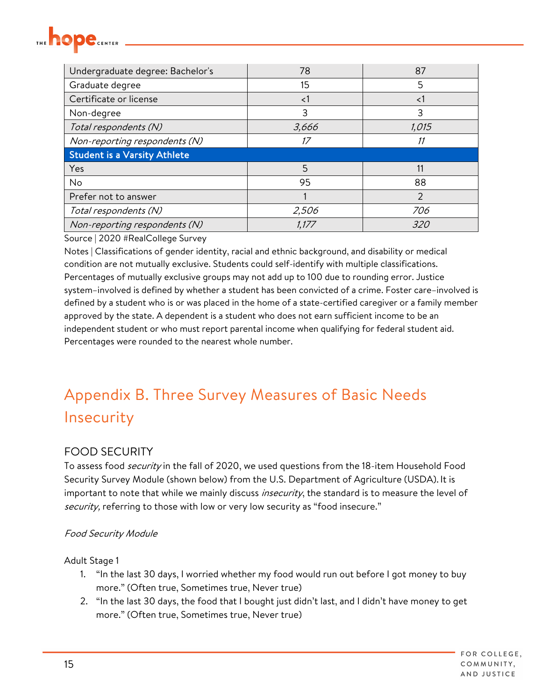<span id="page-14-0"></span>

| Undergraduate degree: Bachelor's    | 78       | 87            |
|-------------------------------------|----------|---------------|
| Graduate degree                     | 15       | 5             |
| Certificate or license              | $\leq$ 1 | $\langle$ 1   |
| Non-degree                          | 3        | 3             |
| Total respondents (N)               | 3,666    | 1,015         |
| Non-reporting respondents (N)       | 17       | 11            |
| <b>Student is a Varsity Athlete</b> |          |               |
|                                     |          |               |
| Yes                                 | 5        | 11            |
| No                                  | 95       | 88            |
| Prefer not to answer                |          | $\mathcal{P}$ |
| Total respondents (N)               | 2,506    | 706           |

Notes | Classifications of gender identity, racial and ethnic background, and disability or medical condition are not mutually exclusive. Students could self-identify with multiple classifications. Percentages of mutually exclusive groups may not add up to 100 due to rounding error. Justice system–involved is defined by whether a student has been convicted of a crime. Foster care–involved is defined by a student who is or was placed in the home of a state-certified caregiver or a family member approved by the state. A dependent is a student who does not earn sufficient income to be an independent student or who must report parental income when qualifying for federal student aid. Percentages were rounded to the nearest whole number.

## Appendix B. Three Survey Measures of Basic Needs Insecurity

#### FOOD SECURITY

To assess food *security* in the fall of 2020, we used questions from the 18-item Household Food Security Survey Module (shown below) from the U.S. Department of Agriculture (USDA). It is important to note that while we mainly discuss *insecurity*, the standard is to measure the level of security, referring to those with low or very low security as "food insecure."

#### Food Security Module

Adult Stage 1

- 1. "In the last 30 days, I worried whether my food would run out before I got money to buy more." (Often true, Sometimes true, Never true)
- 2. "In the last 30 days, the food that I bought just didn't last, and I didn't have money to get more." (Often true, Sometimes true, Never true)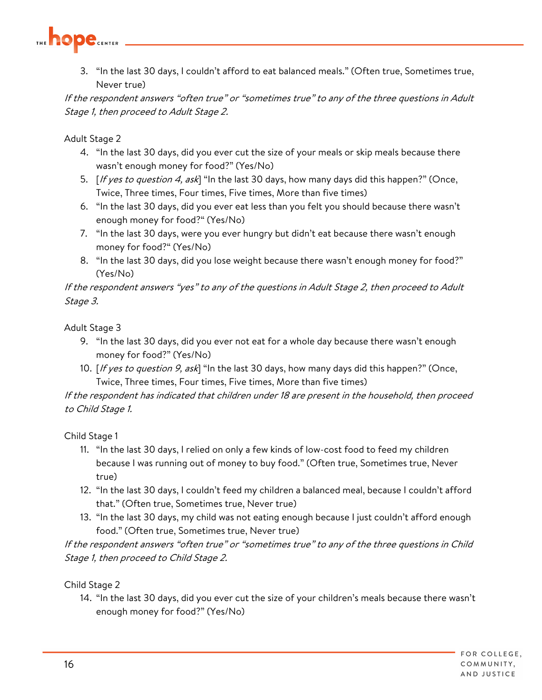

3. "In the last 30 days, I couldn't afford to eat balanced meals." (Often true, Sometimes true, Never true)

If the respondent answers "often true" or "sometimes true" to any of the three questions in Adult Stage 1, then proceed to Adult Stage 2.

Adult Stage 2

- 4. "In the last 30 days, did you ever cut the size of your meals or skip meals because there wasn't enough money for food?" (Yes/No)
- 5. [If yes to question 4, ask] "In the last 30 days, how many days did this happen?" (Once, Twice, Three times, Four times, Five times, More than five times)
- 6. "In the last 30 days, did you ever eat less than you felt you should because there wasn't enough money for food?" (Yes/No)
- 7. "In the last 30 days, were you ever hungry but didn't eat because there wasn't enough money for food?" (Yes/No)
- 8. "In the last 30 days, did you lose weight because there wasn't enough money for food?" (Yes/No)

If the respondent answers "yes" to any of the questions in Adult Stage 2, then proceed to Adult Stage 3.

Adult Stage 3

- 9. "In the last 30 days, did you ever not eat for a whole day because there wasn't enough money for food?" (Yes/No)
- 10. [If yes to question 9, ask] "In the last 30 days, how many days did this happen?" (Once, Twice, Three times, Four times, Five times, More than five times)

#### If the respondent has indicated that children under 18 are present in the household, then proceed to Child Stage 1.

Child Stage 1

- 11. "In the last 30 days, I relied on only a few kinds of low-cost food to feed my children because I was running out of money to buy food." (Often true, Sometimes true, Never true)
- 12. "In the last 30 days, I couldn't feed my children a balanced meal, because I couldn't afford that." (Often true, Sometimes true, Never true)
- 13. "In the last 30 days, my child was not eating enough because I just couldn't afford enough food." (Often true, Sometimes true, Never true)

If the respondent answers "often true" or "sometimes true" to any of the three questions in Child Stage 1, then proceed to Child Stage 2.

Child Stage 2

14. "In the last 30 days, did you ever cut the size of your children's meals because there wasn't enough money for food?" (Yes/No)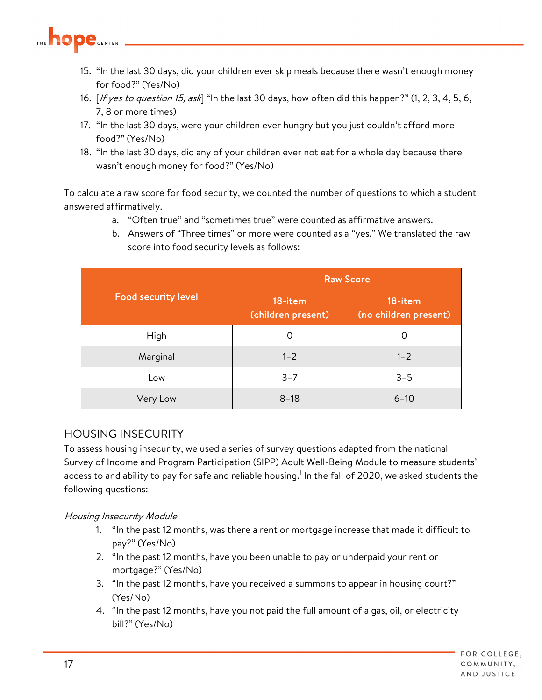

- 15. "In the last 30 days, did your children ever skip meals because there wasn't enough money for food?" (Yes/No)
- 16. [If yes to question 15, ask] "In the last 30 days, how often did this happen?" (1, 2, 3, 4, 5, 6, 7, 8 or more times)
- 17. "In the last 30 days, were your children ever hungry but you just couldn't afford more food?" (Yes/No)
- 18. "In the last 30 days, did any of your children ever not eat for a whole day because there wasn't enough money for food?" (Yes/No)

To calculate a raw score for food security, we counted the number of questions to which a student answered affirmatively.

- a. "Often true" and "sometimes true" were counted as affirmative answers.
- b. Answers of "Three times" or more were counted as a "yes." We translated the raw score into food security levels as follows:

|                            | <b>Raw Score</b>              |                                  |  |  |  |
|----------------------------|-------------------------------|----------------------------------|--|--|--|
| <b>Food security level</b> | 18-item<br>(children present) | 18-item<br>(no children present) |  |  |  |
| High                       | 0                             | Ω                                |  |  |  |
| Marginal                   | $1 - 2$                       | $1 - 2$                          |  |  |  |
| Low                        | $3 - 7$                       | $3 - 5$                          |  |  |  |
| Very Low                   | $8 - 18$                      | $6 - 10$                         |  |  |  |

#### HOUSING INSECURITY

To assess housing insecurity, we used a series of survey questions adapted from the national Survey of Income and Program Participation (SIPP) Adult Well-Being Module to measure students' access to and ability to pay for safe and reliable housing.<sup>1</sup> In the fall of 2020, we asked students the following questions:

#### Housing Insecurity Module

- 1. "In the past 12 months, was there a rent or mortgage increase that made it difficult to pay?" (Yes/No)
- 2. "In the past 12 months, have you been unable to pay or underpaid your rent or mortgage?" (Yes/No)
- 3. "In the past 12 months, have you received a summons to appear in housing court?" (Yes/No)
- 4. "In the past 12 months, have you not paid the full amount of a gas, oil, or electricity bill?" (Yes/No)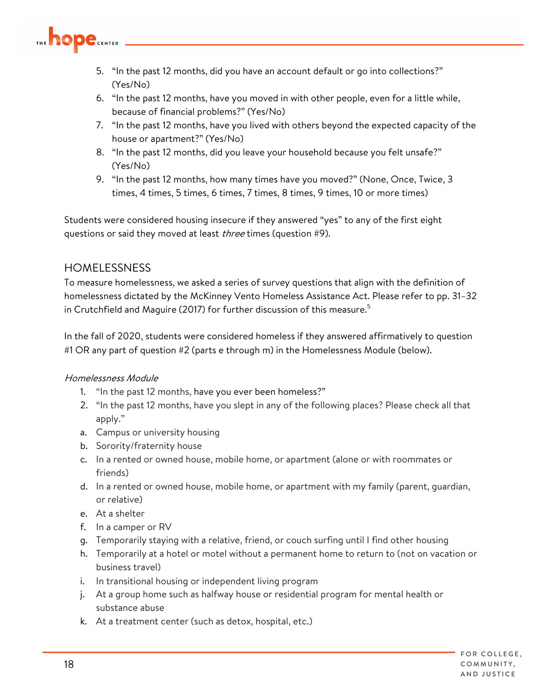

- 5. "In the past 12 months, did you have an account default or go into collections?" (Yes/No)
- 6. "In the past 12 months, have you moved in with other people, even for a little while, because of financial problems?" (Yes/No)
- 7. "In the past 12 months, have you lived with others beyond the expected capacity of the house or apartment?" (Yes/No)
- 8. "In the past 12 months, did you leave your household because you felt unsafe?" (Yes/No)
- 9. "In the past 12 months, how many times have you moved?" (None, Once, Twice, 3 times, 4 times, 5 times, 6 times, 7 times, 8 times, 9 times, 10 or more times)

Students were considered housing insecure if they answered "yes" to any of the first eight questions or said they moved at least *three* times (question #9).

#### **HOMELESSNESS**

To measure homelessness, we asked a series of survey questions that align with the definition of homelessness dictated by the McKinney Vento Homeless Assistance Act. Please refer to pp. 31–32 in Crutchfield and Maguire (2017) for further discussion of this measure.<sup>5</sup>

In the fall of 2020, students were considered homeless if they answered affirmatively to question #1 OR any part of question #2 (parts e through m) in the Homelessness Module (below).

#### Homelessness Module

- 1. "In the past 12 months, have you ever been homeless?"
- 2. "In the past 12 months, have you slept in any of the following places? Please check all that apply."
- a. Campus or university housing
- b. Sorority/fraternity house
- c. In a rented or owned house, mobile home, or apartment (alone or with roommates or friends)
- d. In a rented or owned house, mobile home, or apartment with my family (parent, guardian, or relative)
- e. At a shelter
- f. In a camper or RV
- g. Temporarily staying with a relative, friend, or couch surfing until I find other housing
- h. Temporarily at a hotel or motel without a permanent home to return to (not on vacation or business travel)
- i. In transitional housing or independent living program
- j. At a group home such as halfway house or residential program for mental health or substance abuse
- k. At a treatment center (such as detox, hospital, etc.)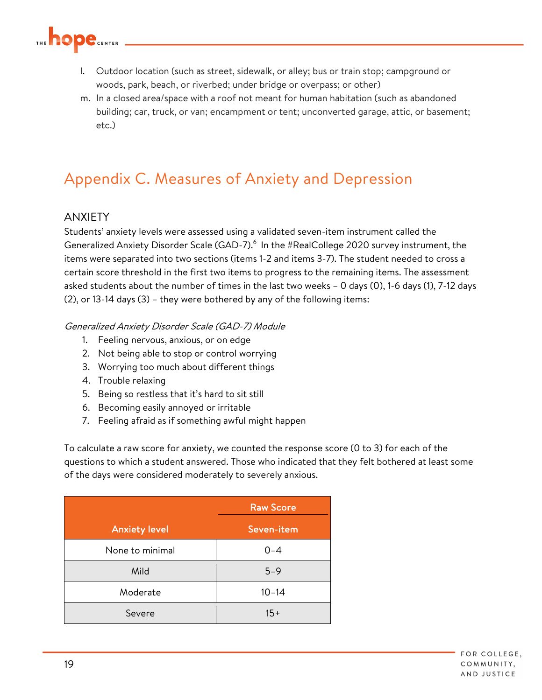<span id="page-18-0"></span>

- l. Outdoor location (such as street, sidewalk, or alley; bus or train stop; campground or woods, park, beach, or riverbed; under bridge or overpass; or other)
- m. In a closed area/space with a roof not meant for human habitation (such as abandoned building; car, truck, or van; encampment or tent; unconverted garage, attic, or basement; etc.)

### Appendix C. Measures of Anxiety and Depression

#### ANXIETY

Students' anxiety levels were assessed using a validated seven-item instrument called the Generalized Anxiety Disorder Scale (GAD-7).<sup>6</sup> In the #RealCollege 2020 survey instrument, the items were separated into two sections (items 1-2 and items 3-7). The student needed to cross a certain score threshold in the first two items to progress to the remaining items. The assessment asked students about the number of times in the last two weeks – 0 days (0), 1-6 days (1), 7-12 days (2), or 13-14 days (3) – they were bothered by any of the following items:

#### Generalized Anxiety Disorder Scale (GAD-7) Module

- 1. Feeling nervous, anxious, or on edge
- 2. Not being able to stop or control worrying
- 3. Worrying too much about different things
- 4. Trouble relaxing
- 5. Being so restless that it's hard to sit still
- 6. Becoming easily annoyed or irritable
- 7. Feeling afraid as if something awful might happen

To calculate a raw score for anxiety, we counted the response score (0 to 3) for each of the questions to which a student answered. Those who indicated that they felt bothered at least some of the days were considered moderately to severely anxious.

|                      | <b>Raw Score</b> |
|----------------------|------------------|
| <b>Anxiety level</b> | Seven-item       |
| None to minimal      | $0 - 4$          |
| Mild                 | $5 - 9$          |
| Moderate             | $10 - 14$        |
| Severe               | $15+$            |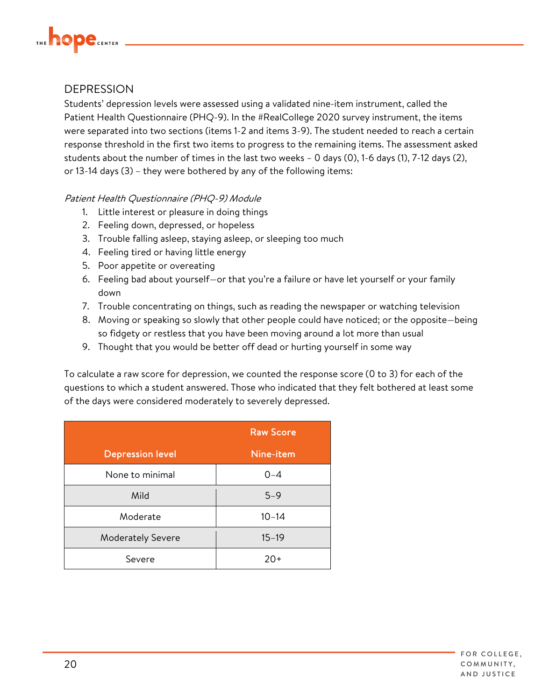

#### **DEPRESSION**

Students' depression levels were assessed using a validated nine-item instrument, called the Patient Health Questionnaire (PHQ-9). In the #RealCollege 2020 survey instrument, the items were separated into two sections (items 1-2 and items 3-9). The student needed to reach a certain response threshold in the first two items to progress to the remaining items. The assessment asked students about the number of times in the last two weeks – 0 days (0), 1-6 days (1), 7-12 days (2), or 13-14 days (3) – they were bothered by any of the following items:

#### Patient Health Questionnaire (PHQ-9) Module

- 1. Little interest or pleasure in doing things
- 2. Feeling down, depressed, or hopeless
- 3. Trouble falling asleep, staying asleep, or sleeping too much
- 4. Feeling tired or having little energy
- 5. Poor appetite or overeating
- 6. Feeling bad about yourself—or that you're a failure or have let yourself or your family down
- 7. Trouble concentrating on things, such as reading the newspaper or watching television
- 8. Moving or speaking so slowly that other people could have noticed; or the opposite—being so fidgety or restless that you have been moving around a lot more than usual
- 9. Thought that you would be better off dead or hurting yourself in some way

To calculate a raw score for depression, we counted the response score (0 to 3) for each of the questions to which a student answered. Those who indicated that they felt bothered at least some of the days were considered moderately to severely depressed.

|                          | <b>Raw Score</b> |
|--------------------------|------------------|
| <b>Depression level</b>  | Nine-item        |
| None to minimal          | $0 - 4$          |
| Mild                     | $5 - 9$          |
| Moderate                 | $10 - 14$        |
| <b>Moderately Severe</b> | $15 - 19$        |
| Severe                   | $20+$            |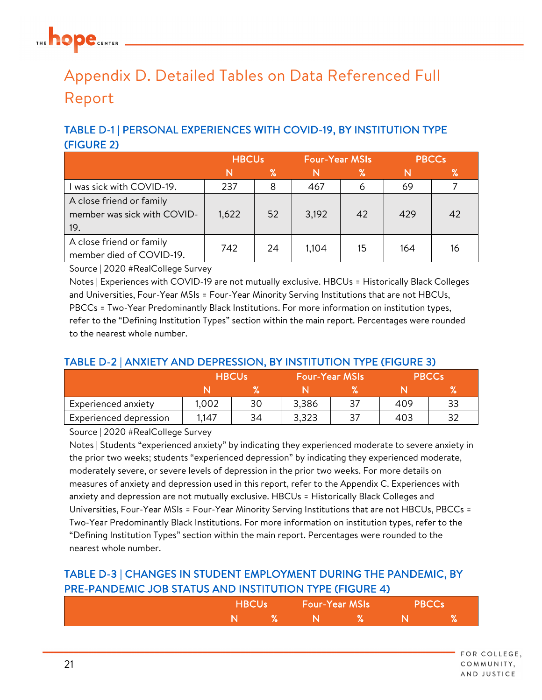## <span id="page-20-0"></span>Appendix D. Detailed Tables on Data Referenced Full Report

### TABLE D-1 | PERSONAL EXPERIENCES WITH COVID-19, BY INSTITUTION TYPE (FIGURE 2)

|                                                                | <b>HBCUs</b> |    | <b>Four-Year MSIs</b> |    | <b>PBCCs</b> |    |
|----------------------------------------------------------------|--------------|----|-----------------------|----|--------------|----|
|                                                                |              | ℅  |                       | ℅  |              | %  |
| was sick with COVID-19.                                        | 237          | 8  | 467                   | 6  | 69           |    |
| A close friend or family<br>member was sick with COVID-<br>19. | 1,622        | 52 | 3,192                 | 42 | 429          | 42 |
| A close friend or family<br>member died of COVID-19.           | 742          | 24 | 1,104                 | 15 | 164          | 16 |

Source | 2020 #RealCollege Survey

Notes | Experiences with COVID-19 are not mutually exclusive. HBCUs = Historically Black Colleges and Universities, Four-Year MSIs = Four-Year Minority Serving Institutions that are not HBCUs, PBCCs = Two-Year Predominantly Black Institutions. For more information on institution types, refer to the "Defining Institution Types" section within the main report. Percentages were rounded to the nearest whole number.

#### TABLE D-2 | ANXIETY AND DEPRESSION, BY INSTITUTION TYPE (FIGURE 3)

|                        | <b>HBCUs</b> |    | ا Four-Year MSIs |    | <b>PBCCs</b> |    |
|------------------------|--------------|----|------------------|----|--------------|----|
|                        |              |    |                  |    |              | %  |
| Experienced anxiety    | 1.002        | 30 | 3,386            | 37 | 409          | 33 |
| Experienced depression | 1,147        | 34 | 3,323            |    | 403          | 32 |

Source | 2020 #RealCollege Survey

Notes | Students "experienced anxiety" by indicating they experienced moderate to severe anxiety in the prior two weeks; students "experienced depression" by indicating they experienced moderate, moderately severe, or severe levels of depression in the prior two weeks. For more details on measures of anxiety and depression used in this report, refer to the Appendix C. Experiences with anxiety and depression are not mutually exclusive. HBCUs = Historically Black Colleges and Universities, Four-Year MSIs = Four-Year Minority Serving Institutions that are not HBCUs, PBCCs = Two-Year Predominantly Black Institutions. For more information on institution types, refer to the "Defining Institution Types" section within the main report. Percentages were rounded to the nearest whole number.

#### TABLE D-3 | CHANGES IN STUDENT EMPLOYMENT DURING THE PANDEMIC, BY PRE-PANDEMIC JOB STATUS AND INSTITUTION TYPE (FIGURE 4)

| <b>HBCUs</b> |  | <b>Four-Year MSIs</b> |    | <b>PBCCs</b> |    |
|--------------|--|-----------------------|----|--------------|----|
|              |  |                       | 70 |              | 70 |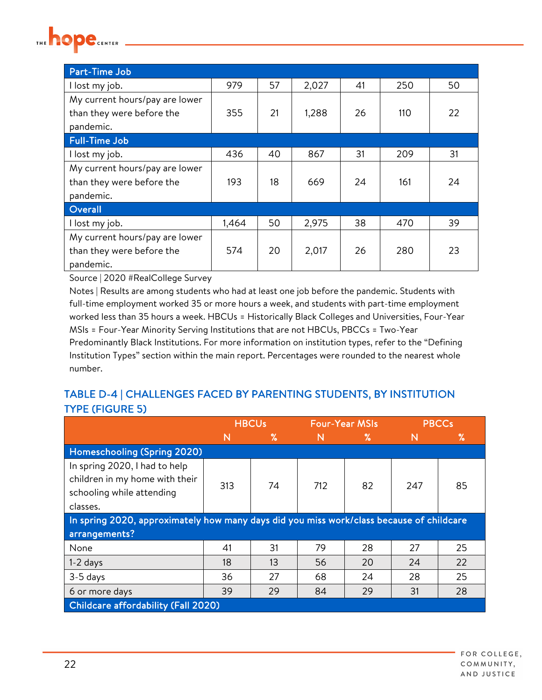

| Part-Time Job                  |       |    |       |    |     |    |
|--------------------------------|-------|----|-------|----|-----|----|
| I lost my job.                 | 979   | 57 | 2,027 | 41 | 250 | 50 |
| My current hours/pay are lower |       |    |       |    |     |    |
| than they were before the      | 355   | 21 | 1,288 | 26 | 110 | 22 |
| pandemic.                      |       |    |       |    |     |    |
| <b>Full-Time Job</b>           |       |    |       |    |     |    |
| I lost my job.                 | 436   | 40 | 867   | 31 | 209 | 31 |
| My current hours/pay are lower |       |    |       |    |     |    |
| than they were before the      | 193   | 18 | 669   | 24 | 161 | 24 |
| pandemic.                      |       |    |       |    |     |    |
| Overall                        |       |    |       |    |     |    |
| I lost my job.                 | 1,464 | 50 | 2,975 | 38 | 470 | 39 |
| My current hours/pay are lower |       |    |       |    |     |    |
| than they were before the      | 574   | 20 | 2,017 | 26 | 280 | 23 |
| pandemic.                      |       |    |       |    |     |    |

Notes | Results are among students who had at least one job before the pandemic. Students with full-time employment worked 35 or more hours a week, and students with part-time employment worked less than 35 hours a week. HBCUs = Historically Black Colleges and Universities, Four-Year MSIs = Four-Year Minority Serving Institutions that are not HBCUs, PBCCs = Two-Year Predominantly Black Institutions. For more information on institution types, refer to the "Defining Institution Types" section within the main report. Percentages were rounded to the nearest whole number.

#### TABLE D-4 | CHALLENGES FACED BY PARENTING STUDENTS, BY INSTITUTION TYPE (FIGURE 5)

|                                                                                                                                                 | <b>HBCUs</b>                        |    |              | <b>Four-Year MSIs</b> | <b>PBCCs</b> |    |  |  |  |
|-------------------------------------------------------------------------------------------------------------------------------------------------|-------------------------------------|----|--------------|-----------------------|--------------|----|--|--|--|
|                                                                                                                                                 | N                                   | %  | $\mathsf{N}$ | ℅                     | N            | ℅  |  |  |  |
| Homeschooling (Spring 2020)                                                                                                                     |                                     |    |              |                       |              |    |  |  |  |
| In spring 2020, I had to help<br>children in my home with their<br>82<br>247<br>85<br>313<br>74<br>712<br>schooling while attending<br>classes. |                                     |    |              |                       |              |    |  |  |  |
| In spring 2020, approximately how many days did you miss work/class because of childcare                                                        |                                     |    |              |                       |              |    |  |  |  |
| arrangements?                                                                                                                                   |                                     |    |              |                       |              |    |  |  |  |
| None                                                                                                                                            | 41                                  | 31 | 79           | 28                    | 27           | 25 |  |  |  |
| $1-2$ days                                                                                                                                      | 18                                  | 13 | 56           | 20                    | 24           | 22 |  |  |  |
| 3-5 days                                                                                                                                        | 36                                  | 27 | 68           | 24                    | 28           | 25 |  |  |  |
| 6 or more days                                                                                                                                  | 39                                  | 29 | 84           | 29                    | 31           | 28 |  |  |  |
|                                                                                                                                                 | Childcare affordability (Fall 2020) |    |              |                       |              |    |  |  |  |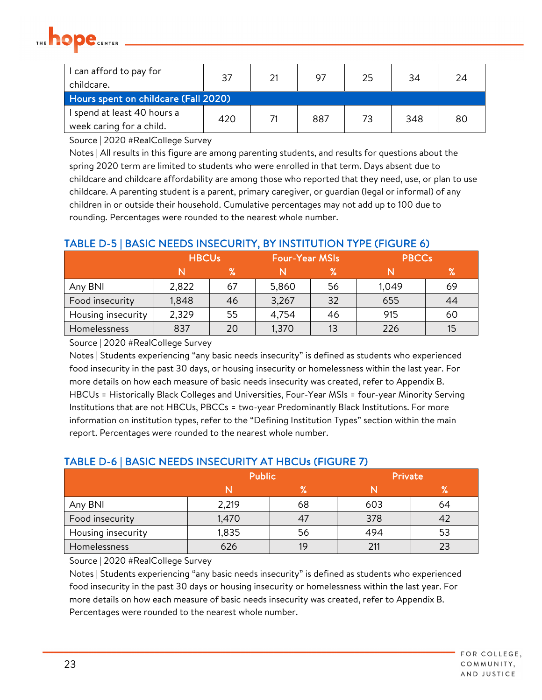

| I can afford to pay for<br>childcare. | 37  | 21 | 97  | 25 | 34  | 24 |  |
|---------------------------------------|-----|----|-----|----|-----|----|--|
| Hours spent on childcare (Fall 2020)  |     |    |     |    |     |    |  |
| I spend at least 40 hours a           | 420 |    | 887 | 73 | 348 | 80 |  |
| week caring for a child.              |     |    |     |    |     |    |  |

Notes | All results in this figure are among parenting students, and results for questions about the spring 2020 term are limited to students who were enrolled in that term. Days absent due to childcare and childcare affordability are among those who reported that they need, use, or plan to use childcare. A parenting student is a parent, primary caregiver, or guardian (legal or informal) of any children in or outside their household. Cumulative percentages may not add up to 100 due to rounding. Percentages were rounded to the nearest whole number.

#### TABLE D-5 | BASIC NEEDS INSECURITY, BY INSTITUTION TYPE (FIGURE 6)

|                    | <b>HBCUs</b> |    | <b>Four-Year MSIs</b> |    | <b>PBCCs</b> |                          |  |
|--------------------|--------------|----|-----------------------|----|--------------|--------------------------|--|
|                    |              | %  |                       | ℅  |              | $\overline{\mathcal{C}}$ |  |
| Any BNI            | 2,822        | 67 | 5,860                 | 56 | 1,049        | 69                       |  |
| Food insecurity    | 1,848        | 46 | 3,267                 | 32 | 655          | 44                       |  |
| Housing insecurity | 2,329        | 55 | 4,754                 | 46 | 915          | 60                       |  |
| Homelessness       | 837          | 20 | 1,370                 | 13 | 226          | 15                       |  |

Source | 2020 #RealCollege Survey

Notes | Students experiencing "any basic needs insecurity" is defined as students who experienced food insecurity in the past 30 days, or housing insecurity or homelessness within the last year. For more details on how each measure of basic needs insecurity was created, refer to Appendix B. HBCUs = Historically Black Colleges and Universities, Four-Year MSIs = four-year Minority Serving Institutions that are not HBCUs, PBCCs = two-year Predominantly Black Institutions. For more information on institution types, refer to the "Defining Institution Types" section within the main report. Percentages were rounded to the nearest whole number.

|                    | <b>Public</b> |    | Private |               |  |  |  |  |  |
|--------------------|---------------|----|---------|---------------|--|--|--|--|--|
|                    |               | %  |         | $\mathbf{o}/$ |  |  |  |  |  |
| Any BNI            | 2,219         | 68 | 603     | 64            |  |  |  |  |  |
| Food insecurity    | 1,470         |    | 378     |               |  |  |  |  |  |
| Housing insecurity | 1,835         | 56 | 494     | 53            |  |  |  |  |  |
| Homelessness       | 626           |    | 211     | 23            |  |  |  |  |  |

#### TABLE D-6 | BASIC NEEDS INSECURITY AT HBCUs (FIGURE 7)

Source | 2020 #RealCollege Survey

Notes | Students experiencing "any basic needs insecurity" is defined as students who experienced food insecurity in the past 30 days or housing insecurity or homelessness within the last year. For more details on how each measure of basic needs insecurity was created, refer to Appendix B. Percentages were rounded to the nearest whole number.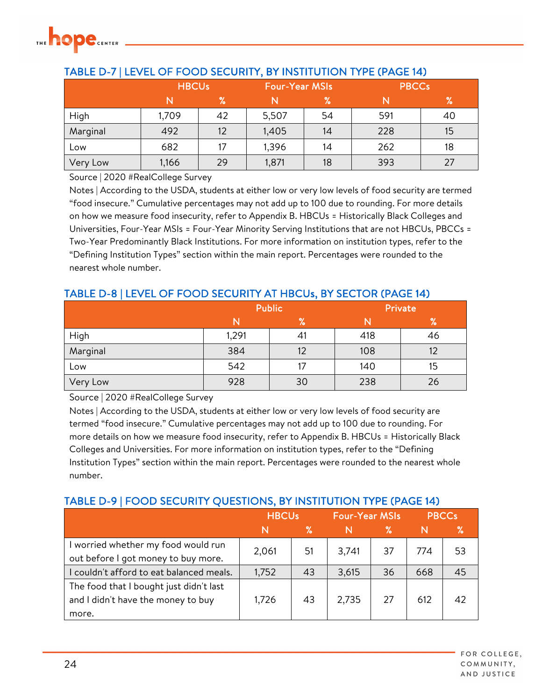

|          | <b>HBCUs</b> |    | <b>Four-Year MSIs</b> |      | <b>PBCCs</b> |    |  |
|----------|--------------|----|-----------------------|------|--------------|----|--|
|          |              | %  |                       | $\%$ |              | %  |  |
| High     | 1,709        | 42 | 5,507                 | 54   | 591          | 40 |  |
| Marginal | 492          | 12 | 1,405                 | 14   | 228          | 15 |  |
| Low      | 682          | 17 | 1,396                 | 14   | 262          | 18 |  |
| Very Low | 1,166        | 29 | 1,871                 | 18   | 393          | 27 |  |

#### TABLE D-7 | LEVEL OF FOOD SECURITY, BY INSTITUTION TYPE (PAGE 14)

Source | 2020 #RealCollege Survey

Notes | According to the USDA, students at either low or very low levels of food security are termed "food insecure." Cumulative percentages may not add up to 100 due to rounding. For more details on how we measure food insecurity, refer to Appendix B. HBCUs = Historically Black Colleges and Universities, Four-Year MSIs = Four-Year Minority Serving Institutions that are not HBCUs, PBCCs = Two-Year Predominantly Black Institutions. For more information on institution types, refer to the "Defining Institution Types" section within the main report. Percentages were rounded to the nearest whole number.

#### TABLE D-8 | LEVEL OF FOOD SECURITY AT HBCUs, BY SECTOR (PAGE 14)

|          |       | <b>Public</b>   | Private |    |  |
|----------|-------|-----------------|---------|----|--|
|          |       | $\mathcal{C}_0$ |         | %  |  |
| High     | 1,291 | 41              | 418     | 46 |  |
| Marginal | 384   | 12              | 108     | 12 |  |
| Low      | 542   |                 | 140     | 15 |  |
| Very Low | 928   | 30              | 238     | 26 |  |

Source | 2020 #RealCollege Survey

Notes | According to the USDA, students at either low or very low levels of food security are termed "food insecure." Cumulative percentages may not add up to 100 due to rounding. For more details on how we measure food insecurity, refer to Appendix B. HBCUs = Historically Black Colleges and Universities. For more information on institution types, refer to the "Defining Institution Types" section within the main report. Percentages were rounded to the nearest whole number.

#### TABLE D-9 | FOOD SECURITY QUESTIONS, BY INSTITUTION TYPE (PAGE 14)

|                                                                                        | <b>HBCUs</b> |    | <b>Four-Year MSIs</b> |    | <b>PBCCs</b> |    |
|----------------------------------------------------------------------------------------|--------------|----|-----------------------|----|--------------|----|
|                                                                                        | N            | %  | N                     | ℅  |              | ℅  |
| worried whether my food would run<br>out before I got money to buy more.               | 2,061        | 51 | 3,741                 | 37 | 774          | 53 |
| couldn't afford to eat balanced meals.                                                 | 1,752        | 43 | 3,615                 | 36 | 668          | 45 |
| The food that I bought just didn't last<br>and I didn't have the money to buy<br>more. | 1,726        | 43 | 2,735                 | 27 | 612          | 42 |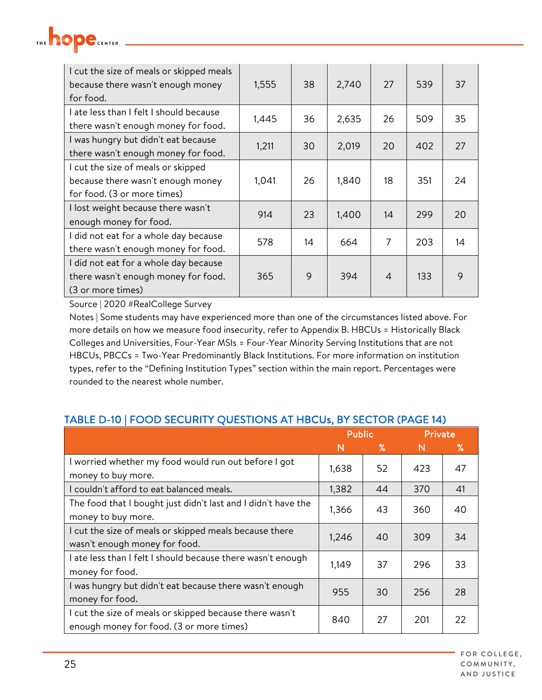| I cut the size of meals or skipped meals<br>because there wasn't enough money<br>for food.             | 1,555 | 38 | 2,740 | 27             | 539 | 37 |
|--------------------------------------------------------------------------------------------------------|-------|----|-------|----------------|-----|----|
| I ate less than I felt I should because<br>there wasn't enough money for food.                         | 1,445 | 36 | 2,635 | 26             | 509 | 35 |
| I was hungry but didn't eat because<br>there wasn't enough money for food.                             | 1,211 | 30 | 2,019 | 20             | 402 | 27 |
| I cut the size of meals or skipped<br>because there wasn't enough money<br>for food. (3 or more times) | 1,041 | 26 | 1,840 | 18             | 351 | 24 |
| I lost weight because there wasn't<br>enough money for food.                                           | 914   | 23 | 1,400 | 14             | 299 | 20 |
| I did not eat for a whole day because<br>there wasn't enough money for food.                           | 578   | 14 | 664   | 7              | 203 | 14 |
| I did not eat for a whole day because<br>there wasn't enough money for food.<br>(3 or more times)      | 365   | 9  | 394   | $\overline{4}$ | 133 | 9  |

hope

Notes | Some students may have experienced more than one of the circumstances listed above. For more details on how we measure food insecurity, refer to Appendix B. HBCUs = Historically Black Colleges and Universities, Four-Year MSIs = Four-Year Minority Serving Institutions that are not HBCUs, PBCCs = Two-Year Predominantly Black Institutions. For more information on institution types, refer to the "Defining Institution Types" section within the main report. Percentages were rounded to the nearest whole number.

#### TABLE D-10 | FOOD SECURITY QUESTIONS AT HBCUs, BY SECTOR (PAGE 14)

|                                                                                                     | <b>Public</b> |    | Private |    |
|-----------------------------------------------------------------------------------------------------|---------------|----|---------|----|
|                                                                                                     | N             | ℅  | N       | ℅  |
| I worried whether my food would run out before I got<br>money to buy more.                          | 1,638         | 52 | 423     | 47 |
| I couldn't afford to eat balanced meals.                                                            | 1,382         | 44 | 370     | 41 |
| The food that I bought just didn't last and I didn't have the<br>money to buy more.                 | 1,366         | 43 | 360     | 40 |
| I cut the size of meals or skipped meals because there<br>wasn't enough money for food.             | 1,246         | 40 | 309     | 34 |
| ate less than I felt I should because there wasn't enough<br>money for food.                        | 1,149         | 37 | 296     | 33 |
| I was hungry but didn't eat because there wasn't enough<br>money for food.                          | 955           | 30 | 256     | 28 |
| I cut the size of meals or skipped because there wasn't<br>enough money for food. (3 or more times) | 840           | 27 | 201     | 22 |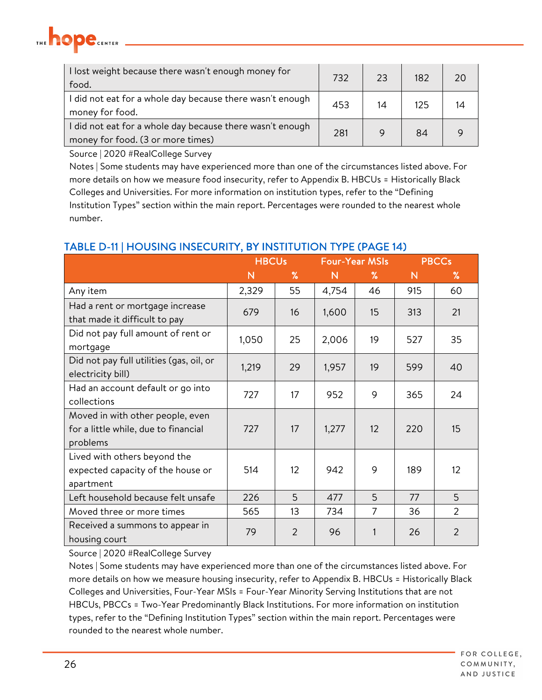

| I lost weight because there wasn't enough money for<br>food.                                   | 732 | 23 | 182 | 20 |
|------------------------------------------------------------------------------------------------|-----|----|-----|----|
| I did not eat for a whole day because there wasn't enough<br>money for food.                   | 453 | 14 | 125 | 14 |
| I did not eat for a whole day because there wasn't enough<br>money for food. (3 or more times) | 281 |    | 84  |    |

Notes | Some students may have experienced more than one of the circumstances listed above. For more details on how we measure food insecurity, refer to Appendix B. HBCUs = Historically Black Colleges and Universities. For more information on institution types, refer to the "Defining Institution Types" section within the main report. Percentages were rounded to the nearest whole number.

#### TABLE D-11 | HOUSING INSECURITY, BY INSTITUTION TYPE (PAGE 14)

|                                                                                      |       | <b>HBCUs</b>   |       | <b>Four-Year MSIs</b> |              | <b>PBCCs</b>   |
|--------------------------------------------------------------------------------------|-------|----------------|-------|-----------------------|--------------|----------------|
|                                                                                      | N     | %              | N     | $\%$                  | $\mathsf{N}$ | $\%$           |
| Any item                                                                             | 2,329 | 55             | 4,754 | 46                    | 915          | 60             |
| Had a rent or mortgage increase<br>that made it difficult to pay                     | 679   | 16             | 1,600 | 15                    | 313          | 21             |
| Did not pay full amount of rent or<br>mortgage                                       | 1,050 | 25             | 2,006 | 19                    | 527          | 35             |
| Did not pay full utilities (gas, oil, or<br>electricity bill)                        | 1,219 | 29             | 1,957 | 19                    | 599          | 40             |
| Had an account default or go into<br>collections                                     | 727   | 17             | 952   | 9                     | 365          | 24             |
| Moved in with other people, even<br>for a little while, due to financial<br>problems | 727   | 17             | 1,277 | 12                    | 220          | 15             |
| Lived with others beyond the<br>expected capacity of the house or<br>apartment       | 514   | 12             | 942   | 9                     | 189          | 12             |
| Left household because felt unsafe                                                   | 226   | 5              | 477   | 5                     | 77           | 5              |
| Moved three or more times                                                            | 565   | 13             | 734   | 7                     | 36           | $\overline{2}$ |
| Received a summons to appear in<br>housing court                                     | 79    | $\overline{2}$ | 96    |                       | 26           | $\overline{2}$ |

Source | 2020 #RealCollege Survey

Notes | Some students may have experienced more than one of the circumstances listed above. For more details on how we measure housing insecurity, refer to Appendix B. HBCUs = Historically Black Colleges and Universities, Four-Year MSIs = Four-Year Minority Serving Institutions that are not HBCUs, PBCCs = Two-Year Predominantly Black Institutions. For more information on institution types, refer to the "Defining Institution Types" section within the main report. Percentages were rounded to the nearest whole number.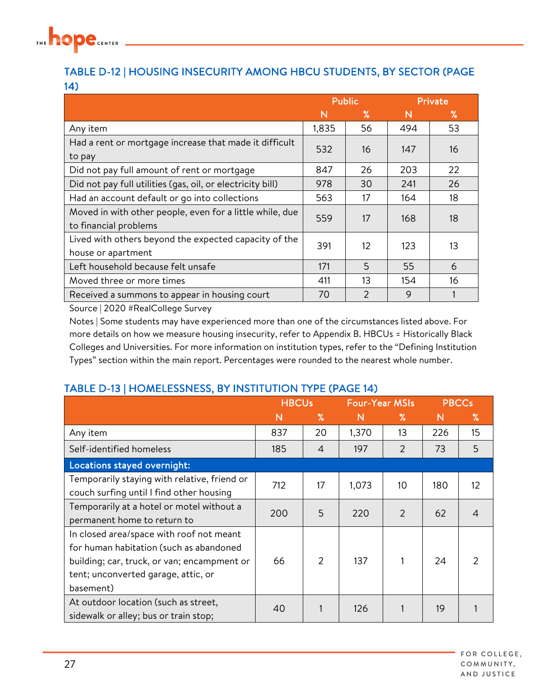

#### TABLE D-12 | HOUSING INSECURITY AMONG HBCU STUDENTS, BY SECTOR (PAGE 14)

|                                                            | <b>Public</b> |                   |     | Private |
|------------------------------------------------------------|---------------|-------------------|-----|---------|
|                                                            | N             | ℅                 | N   | ℅       |
| Any item                                                   | 1,835         | 56                | 494 | 53      |
| Had a rent or mortgage increase that made it difficult     | 532           | 16                | 147 | 16      |
| to pay                                                     |               |                   |     |         |
| Did not pay full amount of rent or mortgage                | 847           | 26                | 203 | 22      |
| Did not pay full utilities (gas, oil, or electricity bill) | 978           | 30                | 241 | 26      |
| Had an account default or go into collections              | 563           | 17                | 164 | 18      |
| Moved in with other people, even for a little while, due   | 559           | 17                | 168 | 18      |
| to financial problems                                      |               |                   |     |         |
| Lived with others beyond the expected capacity of the      | 391           | $12 \overline{ }$ | 123 | 13      |
| house or apartment                                         |               |                   |     |         |
| Left household because felt unsafe                         | 171           | 5                 | 55  | 6       |
| Moved three or more times                                  | 411           | 13                | 154 | 16      |
| Received a summons to appear in housing court              | 70            | $\mathcal{P}$     | 9   |         |

Source | 2020 #RealCollege Survey

Notes | Some students may have experienced more than one of the circumstances listed above. For more details on how we measure housing insecurity, refer to Appendix B. HBCUs = Historically Black Colleges and Universities. For more information on institution types, refer to the "Defining Institution Types" section within the main report. Percentages were rounded to the nearest whole number.

#### TABLE D-13 | HOMELESSNESS, BY INSTITUTION TYPE (PAGE 14)

|                                                                                                                                                                                        | <b>HBCUs</b> |      | <b>Four-Year MSIs</b> |               | <b>PBCCs</b> |                   |
|----------------------------------------------------------------------------------------------------------------------------------------------------------------------------------------|--------------|------|-----------------------|---------------|--------------|-------------------|
|                                                                                                                                                                                        | N            | $\%$ | N                     | %             | N            | $\%$              |
| Any item                                                                                                                                                                               | 837          | 20   | 1,370                 | 13            | 226          | 15                |
| Self-identified homeless                                                                                                                                                               | 185          | 4    | 197                   | $\mathcal{P}$ | 73           | 5                 |
| Locations stayed overnight:                                                                                                                                                            |              |      |                       |               |              |                   |
| Temporarily staying with relative, friend or<br>couch surfing until I find other housing                                                                                               | 712          | 17   | 1,073                 | 10            | 180          | $12 \overline{ }$ |
| Temporarily at a hotel or motel without a<br>permanent home to return to                                                                                                               | 200          | 5    | 220                   | 2             | 62           |                   |
| In closed area/space with roof not meant<br>for human habitation (such as abandoned<br>building; car, truck, or van; encampment or<br>tent; unconverted garage, attic, or<br>basement) | 66           | 2    | 137                   |               | 24           |                   |
| At outdoor location (such as street,<br>sidewalk or alley; bus or train stop;                                                                                                          | 40           |      | 126                   |               | 19           |                   |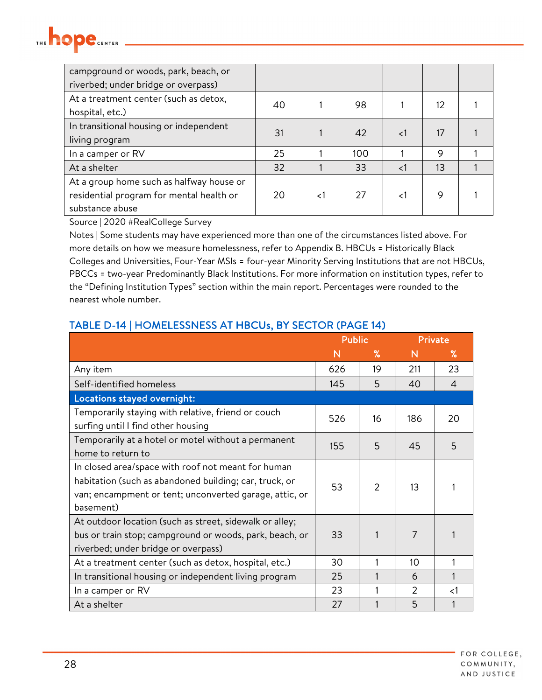### **hope**CENTER THE

| campground or woods, park, beach, or<br>riverbed; under bridge or overpass)                             |    |                |     |          |    |  |
|---------------------------------------------------------------------------------------------------------|----|----------------|-----|----------|----|--|
| At a treatment center (such as detox,<br>hospital, etc.)                                                | 40 |                | 98  |          | 12 |  |
| In transitional housing or independent<br>living program                                                | 31 |                | 42  | $\leq$ 1 | 17 |  |
| In a camper or RV                                                                                       | 25 |                | 100 |          | 9  |  |
| At a shelter                                                                                            | 32 |                | 33  | $\lt$ 1  | 13 |  |
| At a group home such as halfway house or<br>residential program for mental health or<br>substance abuse | 20 | $\mathord{<}1$ | 27  | 1>       | 9  |  |

Source | 2020 #RealCollege Survey

Notes | Some students may have experienced more than one of the circumstances listed above. For more details on how we measure homelessness, refer to Appendix B. HBCUs = Historically Black Colleges and Universities, Four-Year MSIs = four-year Minority Serving Institutions that are not HBCUs, PBCCs = two-year Predominantly Black Institutions. For more information on institution types, refer to the "Defining Institution Types" section within the main report. Percentages were rounded to the nearest whole number.

|                                                                                                                                                                                     | <b>Public</b> |               | Private |                          |
|-------------------------------------------------------------------------------------------------------------------------------------------------------------------------------------|---------------|---------------|---------|--------------------------|
|                                                                                                                                                                                     | N             | %             | N       | ℅                        |
| Any item                                                                                                                                                                            | 626           | 19            | 211     | 23                       |
| Self-identified homeless                                                                                                                                                            | 145           | 5             | 40      | $\overline{\mathcal{A}}$ |
| Locations stayed overnight:                                                                                                                                                         |               |               |         |                          |
| Temporarily staying with relative, friend or couch<br>surfing until I find other housing                                                                                            | 526           | 16            | 186     | 20                       |
| Temporarily at a hotel or motel without a permanent<br>home to return to                                                                                                            | 155           | 5             | 45      | 5                        |
| In closed area/space with roof not meant for human<br>habitation (such as abandoned building; car, truck, or<br>van; encampment or tent; unconverted garage, attic, or<br>basement) | 53            | $\mathcal{P}$ | 13      |                          |
| At outdoor location (such as street, sidewalk or alley;<br>bus or train stop; campground or woods, park, beach, or<br>riverbed; under bridge or overpass)                           | 33            |               | 7       |                          |
| At a treatment center (such as detox, hospital, etc.)                                                                                                                               | 30            |               | 10      |                          |
| In transitional housing or independent living program                                                                                                                               | 25            |               | 6       |                          |
| In a camper or RV                                                                                                                                                                   | 23            |               | 2       | ${<}1$                   |
| At a shelter                                                                                                                                                                        | 27            |               | 5       |                          |

#### TABLE D-14 | HOMELESSNESS AT HBCUs, BY SECTOR (PAGE 14)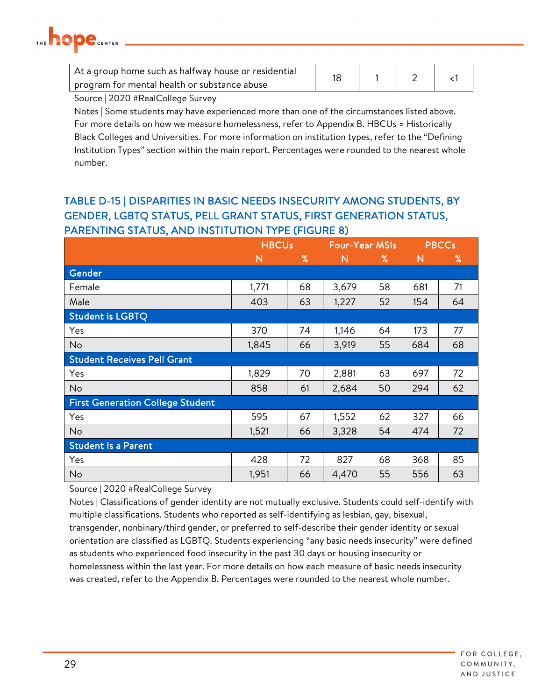

| At a group home such as halfway house or residential |  |  |  |
|------------------------------------------------------|--|--|--|
| program for mental health or substance abuse         |  |  |  |
| $\sim$ $\sim$ $\sim$ $\sim$ $\sim$ $\sim$ $\sim$     |  |  |  |

Notes | Some students may have experienced more than one of the circumstances listed above. For more details on how we measure homelessness, refer to Appendix B. HBCUs = Historically Black Colleges and Universities. For more information on institution types, refer to the "Defining Institution Types" section within the main report. Percentages were rounded to the nearest whole number.

#### TABLE D-15 | DISPARITIES IN BASIC NEEDS INSECURITY AMONG STUDENTS, BY GENDER, LGBTQ STATUS, PELL GRANT STATUS, FIRST GENERATION STATUS, PARENTING STATUS, AND INSTITUTION TYPE (FIGURE 8)

|                                         | <b>HBCUs</b> |      | <b>Four-Year MSIs</b> |      |              | <b>PBCCs</b> |
|-----------------------------------------|--------------|------|-----------------------|------|--------------|--------------|
|                                         | N            | $\%$ | $\mathsf{N}$          | $\%$ | $\mathsf{N}$ | %            |
| Gender                                  |              |      |                       |      |              |              |
| Female                                  | 1,771        | 68   | 3,679                 | 58   | 681          | 71           |
| Male                                    | 403          | 63   | 1,227                 | 52   | 154          | 64           |
| <b>Student is LGBTQ</b>                 |              |      |                       |      |              |              |
| Yes                                     | 370          | 74   | 1,146                 | 64   | 173          | 77           |
| <b>No</b>                               | 1,845        | 66   | 3,919                 | 55   | 684          | 68           |
| <b>Student Receives Pell Grant</b>      |              |      |                       |      |              |              |
| Yes                                     | 1,829        | 70   | 2,881                 | 63   | 697          | 72           |
| No                                      | 858          | 61   | 2,684                 | 50   | 294          | 62           |
| <b>First Generation College Student</b> |              |      |                       |      |              |              |
| Yes                                     | 595          | 67   | 1,552                 | 62   | 327          | 66           |
| <b>No</b>                               | 1,521        | 66   | 3,328                 | 54   | 474          | 72           |
| <b>Student Is a Parent</b>              |              |      |                       |      |              |              |
| Yes                                     | 428          | 72   | 827                   | 68   | 368          | 85           |
| No                                      | 1,951        | 66   | 4,470                 | 55   | 556          | 63           |

Source | 2020 #RealCollege Survey

Notes | Classifications of gender identity are not mutually exclusive. Students could self-identify with multiple classifications. Students who reported as self-identifying as lesbian, gay, bisexual, transgender, nonbinary/third gender, or preferred to self-describe their gender identity or sexual orientation are classified as LGBTQ. Students experiencing "any basic needs insecurity" were defined as students who experienced food insecurity in the past 30 days or housing insecurity or homelessness within the last year. For more details on how each measure of basic needs insecurity was created, refer to the Appendix B. Percentages were rounded to the nearest whole number.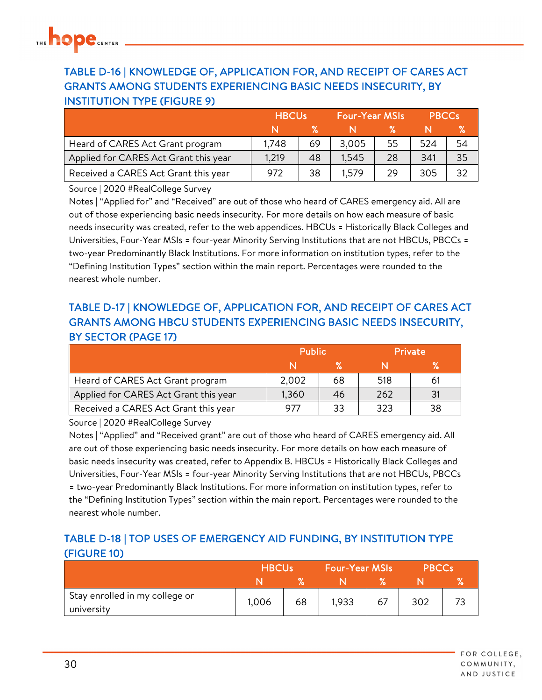### TABLE D-16 | KNOWLEDGE OF, APPLICATION FOR, AND RECEIPT OF CARES ACT GRANTS AMONG STUDENTS EXPERIENCING BASIC NEEDS INSECURITY, BY INSTITUTION TYPE (FIGURE 9)

|                                       | <b>HBCUs</b> |    | Four-Year MSIs |    | <b>PBCCs</b> |    |
|---------------------------------------|--------------|----|----------------|----|--------------|----|
|                                       |              |    |                |    |              |    |
| Heard of CARES Act Grant program      | 1.748        | 69 | 3,005          | 55 | 524          | 54 |
| Applied for CARES Act Grant this year | 1,219        | 48 | 1,545          | 28 | 341          | 35 |
| Received a CARES Act Grant this year  | 972          | 38 | 1.579          | 29 | 305          | 32 |

Source | 2020 #RealCollege Survey

Notes | "Applied for" and "Received" are out of those who heard of CARES emergency aid. All are out of those experiencing basic needs insecurity. For more details on how each measure of basic needs insecurity was created, refer to the web appendices. HBCUs = Historically Black Colleges and Universities, Four-Year MSIs = four-year Minority Serving Institutions that are not HBCUs, PBCCs = two-year Predominantly Black Institutions. For more information on institution types, refer to the "Defining Institution Types" section within the main report. Percentages were rounded to the nearest whole number.

#### TABLE D-17 | KNOWLEDGE OF, APPLICATION FOR, AND RECEIPT OF CARES ACT GRANTS AMONG HBCU STUDENTS EXPERIENCING BASIC NEEDS INSECURITY, BY SECTOR (PAGE 17)

|                                       | <b>Public</b> |    | <b>Private</b> |    |
|---------------------------------------|---------------|----|----------------|----|
|                                       |               |    |                |    |
| Heard of CARES Act Grant program      | 2,002         | 68 | 518            | 61 |
| Applied for CARES Act Grant this year | 1,360         | 46 | 262            | 31 |
| Received a CARES Act Grant this year  | 977           | 33 | 323            | 38 |

Source | 2020 #RealCollege Survey

Notes | "Applied" and "Received grant" are out of those who heard of CARES emergency aid. All are out of those experiencing basic needs insecurity. For more details on how each measure of basic needs insecurity was created, refer to Appendix B. HBCUs = Historically Black Colleges and Universities, Four-Year MSIs = four-year Minority Serving Institutions that are not HBCUs, PBCCs = two-year Predominantly Black Institutions. For more information on institution types, refer to the "Defining Institution Types" section within the main report. Percentages were rounded to the nearest whole number.

#### TABLE D-18 | TOP USES OF EMERGENCY AID FUNDING, BY INSTITUTION TYPE (FIGURE 10)

|                                              | <b>HBCUs</b> |    | <b>Four-Year MSIs</b> |    | <b>PBCCs</b> |  |
|----------------------------------------------|--------------|----|-----------------------|----|--------------|--|
|                                              |              |    |                       |    |              |  |
| Stay enrolled in my college or<br>university | 1,006        | 68 | 1,933                 | 67 | 302          |  |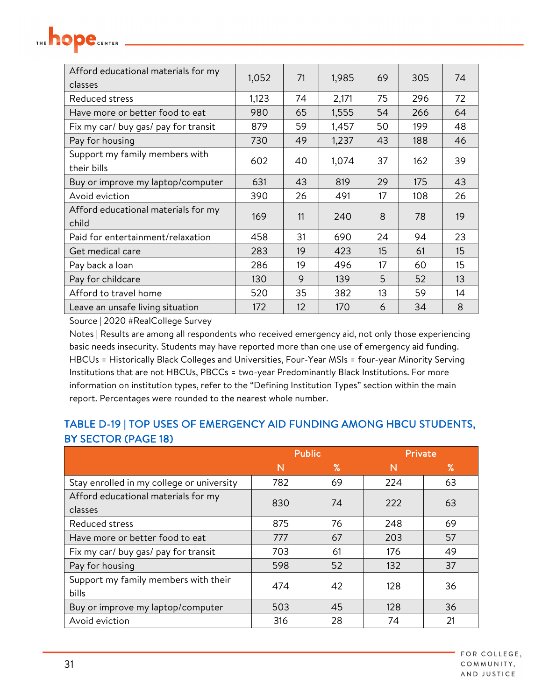| Afford educational materials for my<br>classes | 1,052 | 71 | 1,985 | 69 | 305 | 74 |
|------------------------------------------------|-------|----|-------|----|-----|----|
| Reduced stress                                 | 1,123 | 74 | 2,171 | 75 | 296 | 72 |
| Have more or better food to eat                | 980   | 65 | 1,555 | 54 | 266 | 64 |
| Fix my car/ buy gas/ pay for transit           | 879   | 59 | 1,457 | 50 | 199 | 48 |
| Pay for housing                                | 730   | 49 | 1,237 | 43 | 188 | 46 |
| Support my family members with<br>their bills  | 602   | 40 | 1,074 | 37 | 162 | 39 |
| Buy or improve my laptop/computer              | 631   | 43 | 819   | 29 | 175 | 43 |
| Avoid eviction                                 | 390   | 26 | 491   | 17 | 108 | 26 |
| Afford educational materials for my<br>child   | 169   | 11 | 240   | 8  | 78  | 19 |
| Paid for entertainment/relaxation              | 458   | 31 | 690   | 24 | 94  | 23 |
| Get medical care                               | 283   | 19 | 423   | 15 | 61  | 15 |
| Pay back a loan                                | 286   | 19 | 496   | 17 | 60  | 15 |
| Pay for childcare                              | 130   | 9  | 139   | 5  | 52  | 13 |
| Afford to travel home                          | 520   | 35 | 382   | 13 | 59  | 14 |
| Leave an unsafe living situation               | 172   | 12 | 170   | 6  | 34  | 8  |

hope

Notes | Results are among all respondents who received emergency aid, not only those experiencing basic needs insecurity. Students may have reported more than one use of emergency aid funding. HBCUs = Historically Black Colleges and Universities, Four-Year MSIs = four-year Minority Serving Institutions that are not HBCUs, PBCCs = two-year Predominantly Black Institutions. For more information on institution types, refer to the "Defining Institution Types" section within the main report. Percentages were rounded to the nearest whole number.

#### TABLE D-19 | TOP USES OF EMERGENCY AID FUNDING AMONG HBCU STUDENTS, BY SECTOR (PAGE 18)

|                                           | <b>Public</b> |      | Private |      |
|-------------------------------------------|---------------|------|---------|------|
|                                           | N             | $\%$ | N       | $\%$ |
| Stay enrolled in my college or university | 782           | 69   | 224     | 63   |
| Afford educational materials for my       | 830           | 74   | 222     | 63   |
| classes                                   |               |      |         |      |
| Reduced stress                            | 875           | 76   | 248     | 69   |
| Have more or better food to eat           | 777           | 67   | 203     | 57   |
| Fix my car/ buy gas/ pay for transit      | 703           | 61   | 176     | 49   |
| Pay for housing                           | 598           | 52   | 132     | 37   |
| Support my family members with their      | 474           | 42   | 128     | 36   |
| bills                                     |               |      |         |      |
| Buy or improve my laptop/computer         | 503           | 45   | 128     | 36   |
| Avoid eviction                            | 316           | 28   | 74      | 21   |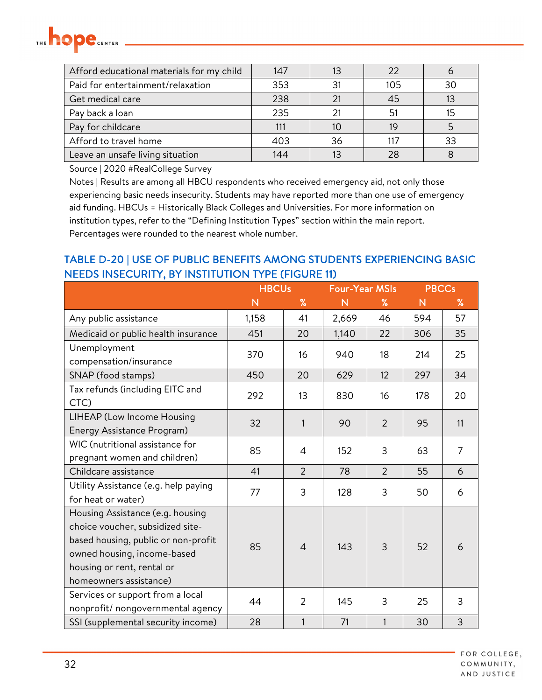

| Afford educational materials for my child | 147 |    | 22  |    |
|-------------------------------------------|-----|----|-----|----|
| Paid for entertainment/relaxation         | 353 |    | 105 | 30 |
| Get medical care                          | 238 |    | 45  |    |
| Pay back a loan                           | 235 |    |     |    |
| Pay for childcare                         |     |    |     |    |
| Afford to travel home                     | 403 | 36 |     | 33 |
| Leave an unsafe living situation          | 144 |    |     |    |

Notes | Results are among all HBCU respondents who received emergency aid, not only those experiencing basic needs insecurity. Students may have reported more than one use of emergency aid funding. HBCUs = Historically Black Colleges and Universities. For more information on institution types, refer to the "Defining Institution Types" section within the main report. Percentages were rounded to the nearest whole number.

#### TABLE D-20 | USE OF PUBLIC BENEFITS AMONG STUDENTS EXPERIENCING BASIC NEEDS INSECURITY, BY INSTITUTION TYPE (FIGURE 11)

|                                                                                                                                                                                                    | <b>HBCUs</b> |                | <b>Four-Year MSIs</b> |                | <b>PBCCs</b> |                |
|----------------------------------------------------------------------------------------------------------------------------------------------------------------------------------------------------|--------------|----------------|-----------------------|----------------|--------------|----------------|
|                                                                                                                                                                                                    | N            | $\%$           | $\mathsf{N}$          | %              | $\mathsf{N}$ | %              |
| Any public assistance                                                                                                                                                                              | 1,158        | 41             | 2,669                 | 46             | 594          | 57             |
| Medicaid or public health insurance                                                                                                                                                                | 451          | 20             | 1,140                 | 22             | 306          | 35             |
| Unemployment<br>compensation/insurance                                                                                                                                                             | 370          | 16             | 940                   | 18             | 214          | 25             |
| SNAP (food stamps)                                                                                                                                                                                 | 450          | 20             | 629                   | 12             | 297          | 34             |
| Tax refunds (including EITC and<br>CTC)                                                                                                                                                            | 292          | 13             | 830                   | 16             | 178          | 20             |
| LIHEAP (Low Income Housing<br>Energy Assistance Program)                                                                                                                                           | 32           | 1              | 90                    | 2              | 95           | 11             |
| WIC (nutritional assistance for<br>pregnant women and children)                                                                                                                                    | 85           | 4              | 152                   | 3              | 63           | $\overline{7}$ |
| Childcare assistance                                                                                                                                                                               | 41           | $\overline{2}$ | 78                    | $\overline{2}$ | 55           | 6              |
| Utility Assistance (e.g. help paying<br>for heat or water)                                                                                                                                         | 77           | 3              | 128                   | 3              | 50           | 6              |
| Housing Assistance (e.g. housing<br>choice voucher, subsidized site-<br>based housing, public or non-profit<br>owned housing, income-based<br>housing or rent, rental or<br>homeowners assistance) | 85           | $\overline{4}$ | 143                   | $\overline{3}$ | 52           | 6              |
| Services or support from a local<br>nonprofit/ nongovernmental agency                                                                                                                              | 44           | $\overline{2}$ | 145                   | 3              | 25           | 3              |
| SSI (supplemental security income)                                                                                                                                                                 | 28           | 1              | 71                    | $\mathbf{1}$   | 30           | $\overline{3}$ |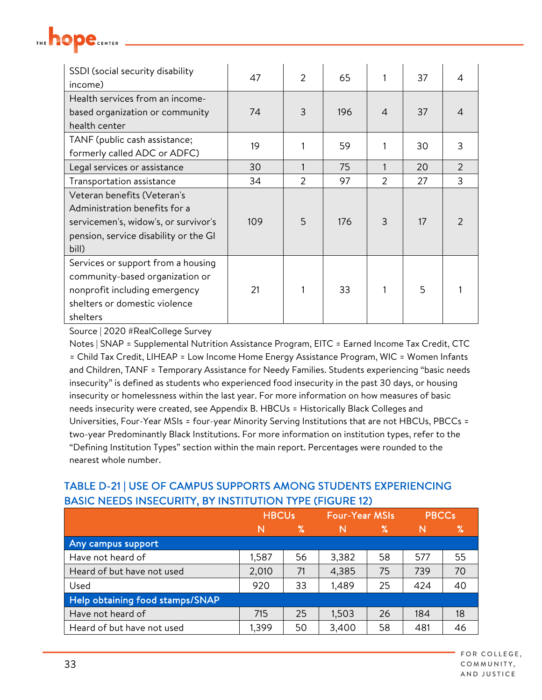| THE ! |  | <b>CENTER</b> |
|-------|--|---------------|
|       |  |               |

| SSDI (social security disability<br>income) | 47  | $\overline{2}$ | 65  |                | 37 | 4              |
|---------------------------------------------|-----|----------------|-----|----------------|----|----------------|
| Health services from an income-             |     |                |     |                |    |                |
| based organization or community             | 74  | 3              | 196 | $\overline{4}$ | 37 | 4              |
| health center                               |     |                |     |                |    |                |
| TANF (public cash assistance;               | 19  |                | 59  |                | 30 | 3              |
| formerly called ADC or ADFC)                |     |                |     |                |    |                |
| Legal services or assistance                | 30  |                | 75  |                | 20 | $\overline{2}$ |
| Transportation assistance                   | 34  | 2              | 97  | 2              | 27 | $\overline{3}$ |
| Veteran benefits (Veteran's                 |     |                |     |                |    |                |
| Administration benefits for a               |     |                |     |                |    |                |
| servicemen's, widow's, or survivor's        | 109 | 5              | 176 | 3              | 17 | $\mathcal{P}$  |
| pension, service disability or the GI       |     |                |     |                |    |                |
| bill)                                       |     |                |     |                |    |                |
| Services or support from a housing          |     |                |     |                |    |                |
| community-based organization or             |     |                |     |                |    |                |
| nonprofit including emergency               | 21  |                | 33  |                | 5  |                |
| shelters or domestic violence               |     |                |     |                |    |                |
| shelters                                    |     |                |     |                |    |                |

Notes | SNAP = Supplemental Nutrition Assistance Program, EITC = Earned Income Tax Credit, CTC = Child Tax Credit, LIHEAP = Low Income Home Energy Assistance Program, WIC = Women Infants and Children, TANF = Temporary Assistance for Needy Families. Students experiencing "basic needs insecurity" is defined as students who experienced food insecurity in the past 30 days, or housing insecurity or homelessness within the last year. For more information on how measures of basic needs insecurity were created, see Appendix B. HBCUs = Historically Black Colleges and Universities, Four-Year MSIs = four-year Minority Serving Institutions that are not HBCUs, PBCCs = two-year Predominantly Black Institutions. For more information on institution types, refer to the "Defining Institution Types" section within the main report. Percentages were rounded to the nearest whole number.

|                                 | <b>HBCUs</b> |      | <b>Four-Year MSIs</b> |    | <b>PBCCs</b> |      |
|---------------------------------|--------------|------|-----------------------|----|--------------|------|
|                                 | N            | $\%$ | N                     | 7% | N            | $\%$ |
| Any campus support              |              |      |                       |    |              |      |
| Have not heard of               | 1,587        | 56   | 3,382                 | 58 | 577          | 55   |
| Heard of but have not used      | 2,010        | 71   | 4,385                 | 75 | 739          | 70   |
| Used                            | 920          | 33   | 1,489                 | 25 | 424          | 40   |
| Help obtaining food stamps/SNAP |              |      |                       |    |              |      |
| Have not heard of               | 715          | 25   | 1,503                 | 26 | 184          | 18   |
| Heard of but have not used      | 1,399        | 50   | 3,400                 | 58 | 481          | 46   |

#### TABLE D-21 | USE OF CAMPUS SUPPORTS AMONG STUDENTS EXPERIENCING BASIC NEEDS INSECURITY, BY INSTITUTION TYPE (FIGURE 12)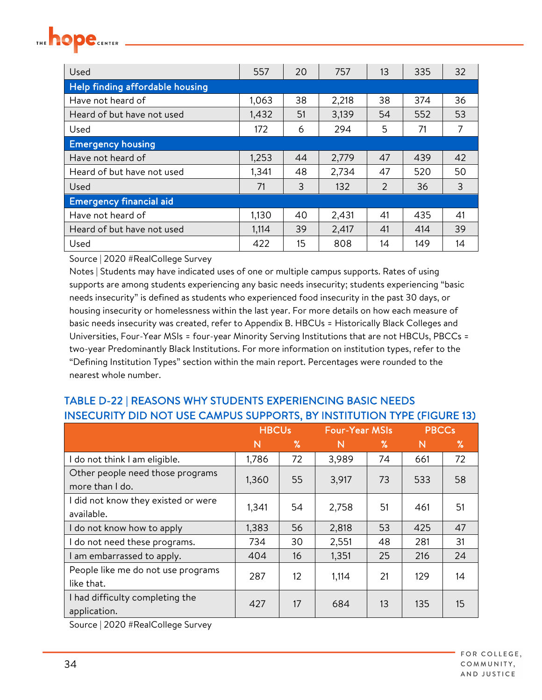| Used                            | 557   | 20 | 757   | 13 | 335 | 32 |
|---------------------------------|-------|----|-------|----|-----|----|
| Help finding affordable housing |       |    |       |    |     |    |
| Have not heard of               | 1,063 | 38 | 2,218 | 38 | 374 | 36 |
| Heard of but have not used      | 1,432 | 51 | 3,139 | 54 | 552 | 53 |
| Used                            | 172   | 6  | 294   | 5  | 71  | 7  |
| <b>Emergency housing</b>        |       |    |       |    |     |    |
| Have not heard of               | 1,253 | 44 | 2,779 | 47 | 439 | 42 |
| Heard of but have not used      | 1,341 | 48 | 2,734 | 47 | 520 | 50 |
| Used                            | 71    | 3  | 132   | 2  | 36  | 3  |
| <b>Emergency financial aid</b>  |       |    |       |    |     |    |
| Have not heard of               | 1,130 | 40 | 2,431 | 41 | 435 | 41 |
| Heard of but have not used      | 1,114 | 39 | 2,417 | 41 | 414 | 39 |
| Used                            | 422   | 15 | 808   | 14 | 149 | 14 |

Notes | Students may have indicated uses of one or multiple campus supports. Rates of using supports are among students experiencing any basic needs insecurity; students experiencing "basic needs insecurity" is defined as students who experienced food insecurity in the past 30 days, or housing insecurity or homelessness within the last year. For more details on how each measure of basic needs insecurity was created, refer to Appendix B. HBCUs = Historically Black Colleges and Universities, Four-Year MSIs = four-year Minority Serving Institutions that are not HBCUs, PBCCs = two-year Predominantly Black Institutions. For more information on institution types, refer to the "Defining Institution Types" section within the main report. Percentages were rounded to the nearest whole number.

#### TABLE D-22 | REASONS WHY STUDENTS EXPERIENCING BASIC NEEDS INSECURITY DID NOT USE CAMPUS SUPPORTS, BY INSTITUTION TYPE (FIGURE 13)

|                                     | <b>HBCUs</b> |    | <b>Four-Year MSIs</b> |    | <b>PBCCs</b> |      |
|-------------------------------------|--------------|----|-----------------------|----|--------------|------|
|                                     | N            | %  | N                     | ℅  | N            | $\%$ |
| I do not think I am eligible.       | 1,786        | 72 | 3,989                 | 74 | 661          | 72   |
| Other people need those programs    | 1,360        | 55 | 3,917                 | 73 | 533          | 58   |
| more than I do.                     |              |    |                       |    |              |      |
| I did not know they existed or were | 1,341        | 54 | 2,758                 | 51 | 461          | 51   |
| available.                          |              |    |                       |    |              |      |
| I do not know how to apply          | 1,383        | 56 | 2,818                 | 53 | 425          | 47   |
| I do not need these programs.       | 734          | 30 | 2,551                 | 48 | 281          | 31   |
| I am embarrassed to apply.          | 404          | 16 | 1,351                 | 25 | 216          | 24   |
| People like me do not use programs  | 287          | 12 | 1,114                 | 21 | 129          | 14   |
| like that.                          |              |    |                       |    |              |      |
| I had difficulty completing the     | 427          | 17 | 684                   | 13 | 135          | 15   |
| application.                        |              |    |                       |    |              |      |

Source | 2020 #RealCollege Survey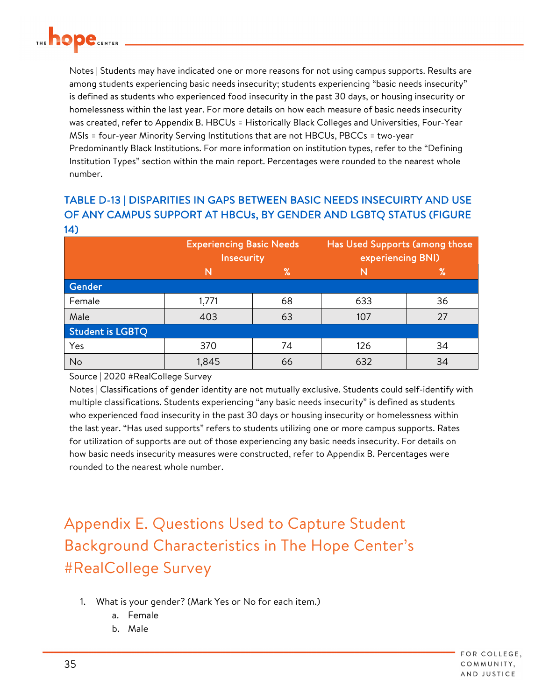<span id="page-34-0"></span>

Notes | Students may have indicated one or more reasons for not using campus supports. Results are among students experiencing basic needs insecurity; students experiencing "basic needs insecurity" is defined as students who experienced food insecurity in the past 30 days, or housing insecurity or homelessness within the last year. For more details on how each measure of basic needs insecurity was created, refer to Appendix B. HBCUs = Historically Black Colleges and Universities, Four-Year MSIs = four-year Minority Serving Institutions that are not HBCUs, PBCCs = two-year Predominantly Black Institutions. For more information on institution types, refer to the "Defining Institution Types" section within the main report. Percentages were rounded to the nearest whole number.

#### TABLE D-13 | DISPARITIES IN GAPS BETWEEN BASIC NEEDS INSECUIRTY AND USE OF ANY CAMPUS SUPPORT AT HBCUs, BY GENDER AND LGBTQ STATUS (FIGURE 14)

|                         |       | <b>Experiencing Basic Needs</b><br>Insecurity |     | Has Used Supports (among those<br>experiencing BNI) |
|-------------------------|-------|-----------------------------------------------|-----|-----------------------------------------------------|
|                         | N     | $\%$                                          |     | $\%$                                                |
| Gender                  |       |                                               |     |                                                     |
| Female                  | 1,771 | 68                                            | 633 | 36                                                  |
| Male                    | 403   | 63                                            | 107 | 27                                                  |
| <b>Student is LGBTQ</b> |       |                                               |     |                                                     |
| Yes                     | 370   | 74                                            | 126 | 34                                                  |
| No                      | 1,845 | 66                                            | 632 | 34                                                  |

Source | 2020 #RealCollege Survey

Notes | Classifications of gender identity are not mutually exclusive. Students could self-identify with multiple classifications. Students experiencing "any basic needs insecurity" is defined as students who experienced food insecurity in the past 30 days or housing insecurity or homelessness within the last year. "Has used supports" refers to students utilizing one or more campus supports. Rates for utilization of supports are out of those experiencing any basic needs insecurity. For details on how basic needs insecurity measures were constructed, refer to Appendix B. Percentages were rounded to the nearest whole number.

Appendix E. Questions Used to Capture Student Background Characteristics in The Hope Center's #RealCollege Survey

- 1. What is your gender? (Mark Yes or No for each item.)
	- a. Female
	- b. Male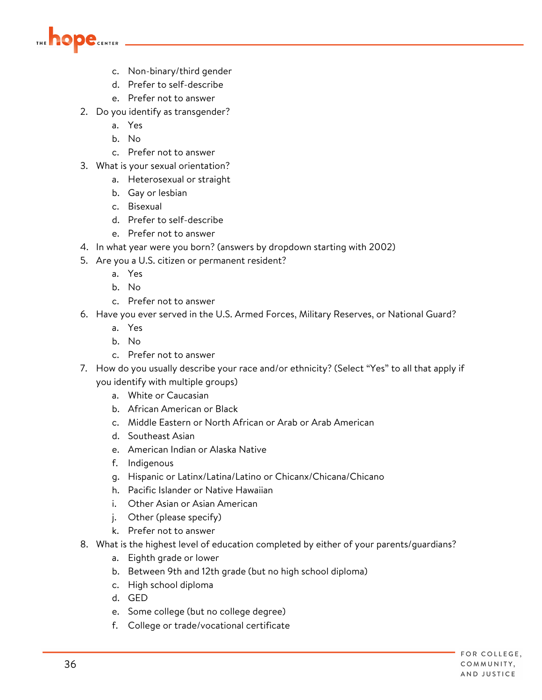

- c. Non-binary/third gender
- d. Prefer to self-describe
- e. Prefer not to answer
- 2. Do you identify as transgender?
	- a. Yes
	- b. No
	- c. Prefer not to answer
- 3. What is your sexual orientation?
	- a. Heterosexual or straight
	- b. Gay or lesbian
	- c. Bisexual
	- d. Prefer to self-describe
	- e. Prefer not to answer
- 4. In what year were you born? (answers by dropdown starting with 2002)
- 5. Are you a U.S. citizen or permanent resident?
	- a. Yes
	- b. No
	- c. Prefer not to answer
- 6. Have you ever served in the U.S. Armed Forces, Military Reserves, or National Guard?
	- a. Yes
	- b. No
	- c. Prefer not to answer
- 7. How do you usually describe your race and/or ethnicity? (Select "Yes" to all that apply if you identify with multiple groups)
	- a. White or Caucasian
	- b. African American or Black
	- c. Middle Eastern or North African or Arab or Arab American
	- d. Southeast Asian
	- e. American Indian or Alaska Native
	- f. Indigenous
	- g. Hispanic or Latinx/Latina/Latino or Chicanx/Chicana/Chicano
	- h. Pacific Islander or Native Hawaiian
	- i. Other Asian or Asian American
	- j. Other (please specify)
	- k. Prefer not to answer
- 8. What is the highest level of education completed by either of your parents/guardians?
	- a. Eighth grade or lower
	- b. Between 9th and 12th grade (but no high school diploma)
	- c. High school diploma
	- d. GED
	- e. Some college (but no college degree)
	- f. College or trade/vocational certificate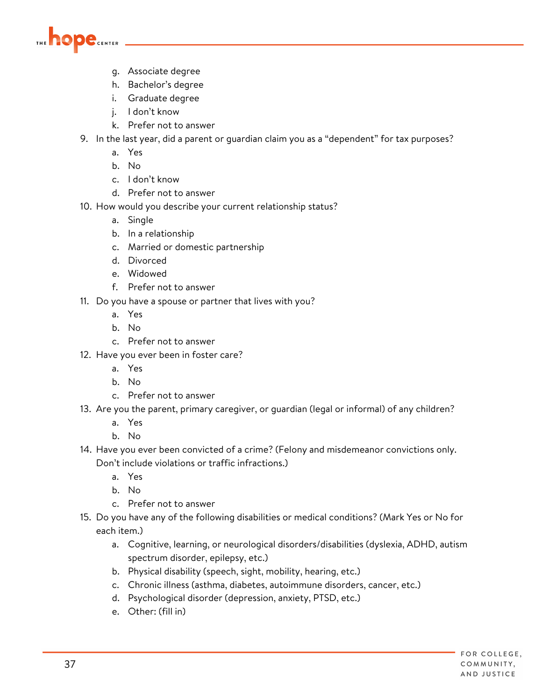

- g. Associate degree
- h. Bachelor's degree
- i. Graduate degree
- j. I don't know
- k. Prefer not to answer
- 9. In the last year, did a parent or guardian claim you as a "dependent" for tax purposes?
	- a. Yes
	- b. No
	- c. I don't know
	- d. Prefer not to answer
- 10. How would you describe your current relationship status?
	- a. Single
	- b. In a relationship
	- c. Married or domestic partnership
	- d. Divorced
	- e. Widowed
	- f. Prefer not to answer
- 11. Do you have a spouse or partner that lives with you?
	- a. Yes
	- b. No
	- c. Prefer not to answer
- 12. Have you ever been in foster care?
	- a. Yes
	- b. No
	- c. Prefer not to answer
- 13. Are you the parent, primary caregiver, or guardian (legal or informal) of any children?
	- a. Yes
	- b. No
- 14. Have you ever been convicted of a crime? (Felony and misdemeanor convictions only. Don't include violations or traffic infractions.)
	- a. Yes
	- b. No
	- c. Prefer not to answer
- 15. Do you have any of the following disabilities or medical conditions? (Mark Yes or No for each item.)
	- a. Cognitive, learning, or neurological disorders/disabilities (dyslexia, ADHD, autism spectrum disorder, epilepsy, etc.)
	- b. Physical disability (speech, sight, mobility, hearing, etc.)
	- c. Chronic illness (asthma, diabetes, autoimmune disorders, cancer, etc.)
	- d. Psychological disorder (depression, anxiety, PTSD, etc.)
	- e. Other: (fill in)